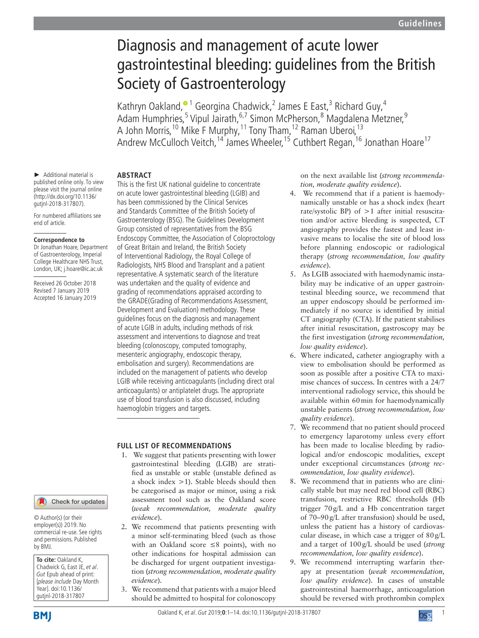# Diagnosis and management of acute lower gastrointestinal bleeding: guidelines from the British Society of Gastroenterology

Kathryn Oakland,<sup>® 1</sup> Georgina Chadwick,<sup>2</sup> James E East,<sup>3</sup> Richard Guy,<sup>4</sup> Adam Humphries,<sup>[5](http://orcid.org/0000-0003-0280-1138)</sup> Vipul Jairath,<sup>6,7</sup> Simon McPherson,<sup>8</sup> Magdalena Metzner,<sup>9</sup> A John Morris,<sup>10</sup> Mike F Murphy,<sup>11</sup> Tony Tham,<sup>12</sup> Raman Uberoi,<sup>13</sup> Andrew McCulloch Veitch,<sup>14</sup> James Wheeler,<sup>15</sup> Cuthbert Regan,<sup>16</sup> Jonathan Hoare<sup>17</sup>

► Additional material is published online only. To view please visit the journal online (http://dx.doi.org/10.1136/ gutjnl-2018-317807).

For numbered affiliations see end of article.

#### **Correspondence to**

Dr Jonathan Hoare, Department of Gastroenterology, Imperial College Healthcare NHS Trust, London, UK; j.hoare@ic.ac.uk

Received 26 October 2018 Revised 7 January 2019 Accepted 16 January 2019

# Check for updates

© Author(s) (or their employer(s)) 2019. No commercial re-use. See rights and permissions. Published by BMJ.

**To cite:** Oakland K, Chadwick G, East JE, et al. Gut Epub ahead of print: [please include Day Month Year]. doi:10.1136/ gutjnl-2018-317807

# **Abstract**

This is the first UK national guideline to concentrate on acute lower gastrointestinal bleeding (LGIB) and has been commissioned by the Clinical Services and Standards Committee of the British Society of Gastroenterology (BSG). The Guidelines Development Group consisted of representatives from the BSG Endoscopy Committee, the Association of Coloproctology of Great Britain and Ireland, the British Society of Interventional Radiology, the Royal College of Radiologists, NHS Blood and Transplant and a patient representative. A systematic search of the literature was undertaken and the quality of evidence and grading of recommendations appraised according to the GRADE(Grading of Recommendations Assessment, Development and Evaluation) methodology. These guidelines focus on the diagnosis and management of acute LGIB in adults, including methods of risk assessment and interventions to diagnose and treat bleeding (colonoscopy, computed tomography, mesenteric angiography, endoscopic therapy, embolisation and surgery). Recommendations are included on the management of patients who develop LGIB while receiving anticoagulants (including direct oral anticoagulants) or antiplatelet drugs. The appropriate use of blood transfusion is also discussed, including haemoglobin triggers and targets.

# **Full list of recommendations**

- 1. We suggest that patients presenting with lower gastrointestinal bleeding (LGIB) are stratified as unstable or stable (unstable defined as a shock index >1). Stable bleeds should then be categorised as major or minor, using a risk assessment tool such as the Oakland score (*weak recommendation, moderate quality evidence*).
- 2. We recommend that patients presenting with a minor self-terminating bleed (such as those with an Oakland score ≤8 points), with no other indications for hospital admission can be discharged for urgent outpatient investigation (*strong recommendation, moderate quality evidence*).
- 3. We recommend that patients with a major bleed should be admitted to hospital for colonoscopy

on the next available list (*strong recommendation, moderate quality evidence*).

- 4. We recommend that if a patient is haemodynamically unstable or has a shock index (heart rate/systolic BP) of >1 after initial resuscitation and/or active bleeding is suspected, CT angiography provides the fastest and least invasive means to localise the site of blood loss before planning endoscopic or radiological therapy (*strong recommendation, low quality evidence*).
- 5. As LGIB associated with haemodynamic instability may be indicative of an upper gastrointestinal bleeding source, we recommend that an upper endoscopy should be performed immediately if no source is identified by initial CT angiography (CTA). If the patient stabilises after initial resuscitation, gastroscopy may be the first investigation (*strong recommendation, low quality evidence*).
- 6. Where indicated, catheter angiography with a view to embolisation should be performed as soon as possible after a positive CTA to maximise chances of success. In centres with a 24/7 interventional radiology service, this should be available within 60min for haemodynamically unstable patients (*strong recommendation, low quality evidence*).
- 7. We recommend that no patient should proceed to emergency laparotomy unless every effort has been made to localise bleeding by radiological and/or endoscopic modalities, except under exceptional circumstances (*strong recommendation, low quality evidence*).
- 8. We recommend that in patients who are clinically stable but may need red blood cell (RBC) transfusion, restrictive RBC thresholds (Hb trigger 70g/L and a Hb concentration target of 70–90g/L after transfusion) should be used, unless the patient has a history of cardiovascular disease, in which case a trigger of  $80g/L$ and a target of 100g/L should be used (*strong recommendation, low quality evidence*).
- 9. We recommend interrupting warfarin therapy at presentation (*weak recommendation, low quality evidence*). In cases of unstable gastrointestinal haemorrhage, anticoagulation should be reversed with prothrombin complex

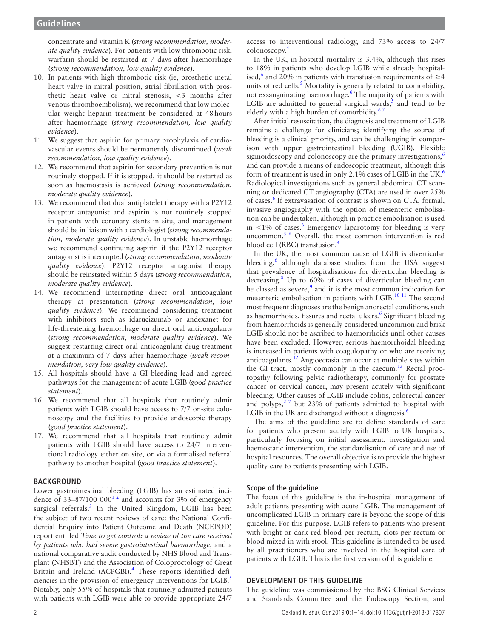concentrate and vitamin K (*strong recommendation, moderate quality evidence*). For patients with low thrombotic risk, warfarin should be restarted at 7 days after haemorrhage (*strong recommendation, low quality evidence*).

- 10. In patients with high thrombotic risk (ie, prosthetic metal heart valve in mitral position, atrial fibrillation with prosthetic heart valve or mitral stenosis, <3 months after venous thromboembolism), we recommend that low molecular weight heparin treatment be considered at 48hours after haemorrhage (*strong recommendation, low quality evidence*).
- 11. We suggest that aspirin for primary prophylaxis of cardiovascular events should be permanently discontinued (*weak recommendation, low quality evidence*).
- 12. We recommend that aspirin for secondary prevention is not routinely stopped. If it is stopped, it should be restarted as soon as haemostasis is achieved (*strong recommendation, moderate quality evidence*).
- 13. We recommend that dual antiplatelet therapy with a P2Y12 receptor antagonist and aspirin is not routinely stopped in patients with coronary stents in situ, and management should be in liaison with a cardiologist (*strong recommendation, moderate quality evidence*). In unstable haemorrhage we recommend continuing aspirin if the P2Y12 receptor antagonist is interrupted (*strong recommendation, moderate quality evidence*). P2Y12 receptor antagonist therapy should be reinstated within 5 days (*strong recommendation, moderate quality evidence*).
- 14. We recommend interrupting direct oral anticoagulant therapy at presentation (*strong recommendation, low quality evidence*). We recommend considering treatment with inhibitors such as idarucizumab or andexanet for life-threatening haemorrhage on direct oral anticoagulants (*strong recommendation, moderate quality evidence*). We suggest restarting direct oral anticoagulant drug treatment at a maximum of 7 days after haemorrhage (*weak recommendation, very low quality evidence*).
- 15. All hospitals should have a GI bleeding lead and agreed pathways for the management of acute LGIB (*good practice statement*).
- 16. We recommend that all hospitals that routinely admit patients with LGIB should have access to 7/7 on-site colonoscopy and the facilities to provide endoscopic therapy (*good practice statement*).
- 17. We recommend that all hospitals that routinely admit patients with LGIB should have access to 24/7 interventional radiology either on site, or via a formalised referral pathway to another hospital (*good practice statement*).

# **BACKGROUND**

Lower gastrointestinal bleeding (LGIB) has an estimated incidence of  $33-87/100~000^{12}$  and accounts for 3% of emergency surgical referrals.<sup>3</sup> In the United Kingdom, LGIB has been the subject of two recent reviews of care: the National Confidential Enquiry into Patient Outcome and Death (NCEPOD) report entitled *Time to get control: a review of the care received by patients who had severe gastrointestinal haemorrhage*, and a national comparative audit conducted by NHS Blood and Transplant (NHSBT) and the Association of Coloproctology of Great Britain and Ireland (ACPGBI).<sup>[4](#page-11-2)</sup> These reports identified deficiencies in the provision of emergency interventions for LGIB.<sup>5</sup> Notably, only 55% of hospitals that routinely admitted patients with patients with LGIB were able to provide appropriate 24/7

access to interventional radiology, and 73% access to 24/7 colonoscopy.[4](#page-11-2)

In the UK, in-hospital mortality is 3.4%, although this rises to 18% in patients who develop LGIB while already hospitalised,<sup>6</sup> and 20% in patients with transfusion requirements of  $\geq$ 4 units of red cells.<sup>[5](#page-11-3)</sup> Mortality is generally related to comorbidity, not exsanguinating haemorrhage.<sup>6</sup> The majority of patients with LGIB are admitted to general surgical wards, $<sup>5</sup>$  $<sup>5</sup>$  $<sup>5</sup>$  and tend to be</sup> elderly with a high burden of comorbidity.<sup>6</sup>

After initial resuscitation, the diagnosis and treatment of LGIB remains a challenge for clinicians; identifying the source of bleeding is a clinical priority, and can be challenging in comparison with upper gastrointestinal bleeding (UGIB). Flexible sigmoidoscopy and colonoscopy are the primary investigations, $\frac{6}{10}$  $\frac{6}{10}$  $\frac{6}{10}$ and can provide a means of endoscopic treatment, although this form of treatment is used in only 2.1% cases of LGIB in the UK.<sup>[6](#page-11-4)</sup> Radiological investigations such as general abdominal CT scanning or dedicated CT angiography (CTA) are used in over 25% of cases.<sup>[6](#page-11-4)</sup> If extravasation of contrast is shown on CTA, formal, invasive angiography with the option of mesenteric embolisation can be undertaken, although in practice embolisation is used in  $< 1\%$  of cases.<sup>6</sup> Emergency laparotomy for bleeding is very uncommon.<sup>[5 6](#page-11-3)</sup> Overall, the most common intervention is red blood cell (RBC) transfusion.<sup>4</sup>

In the UK, the most common cause of LGIB is diverticular bleeding,<sup>[6](#page-11-4)</sup> although database studies from the USA suggest that prevalence of hospitalisations for diverticular bleeding is decreasing.<sup>[8](#page-11-5)</sup> Up to 60% of cases of diverticular bleeding can be classed as severe, $9$  and it is the most common indication for mesenteric embolisation in patients with LGIB.<sup>10 11</sup> The second most frequent diagnoses are the benign anorectal conditions, such as haemorrhoids, fissures and rectal ulcers.<sup>[6](#page-11-4)</sup> Significant bleeding from haemorrhoids is generally considered uncommon and brisk LGIB should not be ascribed to haemorrhoids until other causes have been excluded. However, serious haemorrhoidal bleeding is increased in patients with coagulopathy or who are receiving anticoagulants[.12](#page-11-8) Angioectasia can occur at multiple sites within the GI tract, mostly commonly in the caecum. $13$  Rectal proctopathy following pelvic radiotherapy, commonly for prostate cancer or cervical cancer, may present acutely with significant bleeding. Other causes of LGIB include colitis, colorectal cancer and polyps, $27$  but 23% of patients admitted to hospital with LGIB in the UK are discharged without a diagnosis. $\frac{6}{10}$ 

The aims of the guideline are to define standards of care for patients who present acutely with LGIB to UK hospitals, particularly focusing on initial assessment, investigation and haemostatic intervention, the standardisation of care and use of hospital resources. The overall objective is to provide the highest quality care to patients presenting with LGIB.

# **Scope of the guideline**

The focus of this guideline is the in-hospital management of adult patients presenting with acute LGIB. The management of uncomplicated LGIB in primary care is beyond the scope of this guideline. For this purpose, LGIB refers to patients who present with bright or dark red blood per rectum, clots per rectum or blood mixed in with stool. This guideline is intended to be used by all practitioners who are involved in the hospital care of patients with LGIB. This is the first version of this guideline.

## **Development of this guideline**

The guideline was commissioned by the BSG Clinical Services and Standards Committee and the Endoscopy Section, and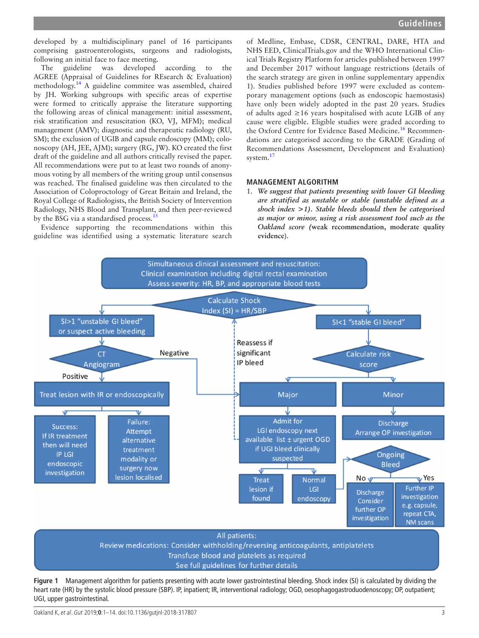developed by a multidisciplinary panel of 16 participants comprising gastroenterologists, surgeons and radiologists, following an initial face to face meeting.

The guideline was developed according to the AGREE (Appraisal of Guidelines for REsearch & Evaluation) methodology[.14](#page-11-11) A guideline commitee was assembled, chaired by JH. Working subgroups with specific areas of expertise were formed to critically appraise the literature supporting the following areas of clinical management: initial assessment, risk stratification and resuscitation (KO, VJ, MFM); medical management (AMV); diagnostic and therapeutic radiology (RU, SM); the exclusion of UGIB and capsule endoscopy (MM); colonoscopy (AH, JEE, AJM); surgery (RG, JW). KO created the first draft of the guideline and all authors critically revised the paper. All recommendations were put to at least two rounds of anonymous voting by all members of the writing group until consensus was reached. The finalised guideline was then circulated to the Association of Coloproctology of Great Britain and Ireland, the Royal College of Radiologists, the British Society of Intervention Radiology, NHS Blood and Transplant, and then peer-reviewed by the BSG via a standardised process.<sup>1</sup>

Evidence supporting the recommendations within this guideline was identified using a systematic literature search

of Medline, Embase, CDSR, CENTRAL, DARE, HTA and NHS EED, ClinicalTrials.gov and the WHO International Clinical Trials Registry Platform for articles published between 1997 and December 2017 without language restrictions (details of the search strategy are given in online [supplementary appendix](https://dx.doi.org/10.1136/gutjnl-2018-317807) [1\)](https://dx.doi.org/10.1136/gutjnl-2018-317807). Studies published before 1997 were excluded as contemporary management options (such as endoscopic haemostasis) have only been widely adopted in the past 20 years. Studies of adults aged ≥16 years hospitalised with acute LGIB of any cause were eligible. Eligible studies were graded according to the Oxford Centre for Evidence Based Medicine.<sup>[16](#page-11-13)</sup> Recommendations are categorised according to the GRADE (Grading of Recommendations Assessment, Development and Evaluation) system.<sup>[17](#page-11-14)</sup>

#### **Management algorithm**

1. *We suggest that patients presenting with lower GI bleeding are stratified as unstable or stable (unstable defined as a shock index >1). Stable bleeds should then be categorised as major or minor, using a risk assessment tool such as the Oakland score (***weak recommendation, moderate quality evidence**).



<span id="page-2-0"></span>**Figure 1** Management algorithm for patients presenting with acute lower gastrointestinal bleeding. Shock index (SI) is calculated by dividing the heart rate (HR) by the systolic blood pressure (SBP). IP, inpatient; IR, interventional radiology; OGD, oesophagogastroduodenoscopy; OP, outpatient; UGI, upper gastrointestinal.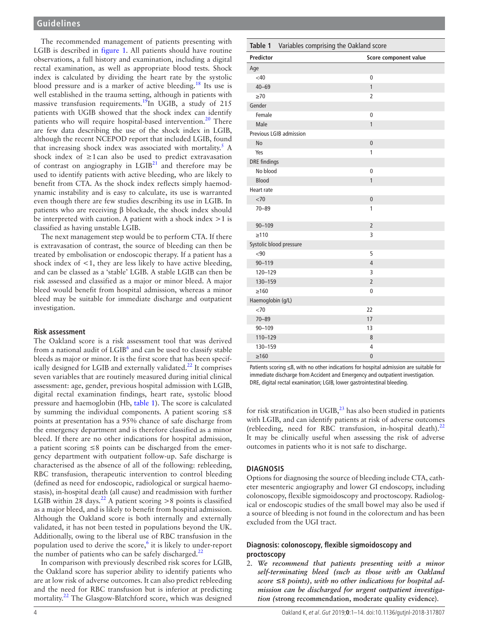The recommended management of patients presenting with LGIB is described in [figure](#page-2-0) 1. All patients should have routine observations, a full history and examination, including a digital rectal examination, as well as appropriate blood tests. Shock index is calculated by dividing the heart rate by the systolic blood pressure and is a marker of active bleeding.[18](#page-11-15) Its use is well established in the trauma setting, although in patients with massive transfusion requirements.<sup>19</sup>In UGIB, a study of 215 patients with UGIB showed that the shock index can identify patients who will require hospital-based intervention.<sup>20</sup> There are few data describing the use of the shock index in LGIB, although the recent NCEPOD report that included LGIB, found that increasing shock index was associated with mortality.<sup>5</sup> A shock index of  $\geq 1$  can also be used to predict extravasation of contrast on angiography in  $LGIB<sup>21</sup>$  and therefore may be used to identify patients with active bleeding, who are likely to benefit from CTA. As the shock index reflects simply haemodynamic instability and is easy to calculate, its use is warranted even though there are few studies describing its use in LGIB. In patients who are receiving β blockade, the shock index should be interpreted with caution. A patient with a shock index  $>1$  is classified as having unstable LGIB.

The next management step would be to perform CTA. If there is extravasation of contrast, the source of bleeding can then be treated by embolisation or endoscopic therapy. If a patient has a shock index of  $\leq 1$ , they are less likely to have active bleeding, and can be classed as a 'stable' LGIB. A stable LGIB can then be risk assessed and classified as a major or minor bleed. A major bleed would benefit from hospital admission, whereas a minor bleed may be suitable for immediate discharge and outpatient investigation.

#### **Risk assessment**

The Oakland score is a risk assessment tool that was derived from a national audit of LGIB<sup>6</sup> and can be used to classify stable bleeds as major or minor. It is the first score that has been specif-ically designed for LGIB and externally validated.<sup>[22](#page-11-19)</sup> It comprises seven variables that are routinely measured during initial clinical assessment: age, gender, previous hospital admission with LGIB, digital rectal examination findings, heart rate, systolic blood pressure and haemoglobin (Hb, [table](#page-3-0) 1). The score is calculated by summing the individual components. A patient scoring  $\leq 8$ points at presentation has a 95% chance of safe discharge from the emergency department and is therefore classified as a minor bleed. If there are no other indications for hospital admission, a patient scoring ≤8 points can be discharged from the emergency department with outpatient follow-up. Safe discharge is characterised as the absence of all of the following: rebleeding, RBC transfusion, therapeutic intervention to control bleeding (defined as need for endoscopic, radiological or surgical haemostasis), in-hospital death (all cause) and readmission with further LGIB within 28 days.<sup>[22](#page-11-19)</sup> A patient scoring  $>8$  points is classified as a major bleed, and is likely to benefit from hospital admission. Although the Oakland score is both internally and externally validated, it has not been tested in populations beyond the UK. Additionally, owing to the liberal use of RBC transfusion in the population used to derive the score,<sup>[6](#page-11-4)</sup> it is likely to under-report the number of patients who can be safely discharged. $^{22}$ 

In comparison with previously described risk scores for LGIB, the Oakland score has superior ability to identify patients who are at low risk of adverse outcomes. It can also predict rebleeding and the need for RBC transfusion but is inferior at predicting mortality.[22](#page-11-19) The Glasgow-Blatchford score, which was designed

<span id="page-3-0"></span>

|                         | Table 1 Variables comprising the Oakland score |                       |
|-------------------------|------------------------------------------------|-----------------------|
| Predictor               |                                                | Score component value |
| Age                     |                                                |                       |
| <40                     |                                                | 0                     |
| $40 - 69$               |                                                | $\mathbf{1}$          |
| $\geq 70$               |                                                | 2                     |
| Gender                  |                                                |                       |
| Female                  |                                                | $\mathbf 0$           |
| Male                    |                                                | $\mathbf{1}$          |
| Previous LGIB admission |                                                |                       |
| <b>No</b>               |                                                | $\mathbf{0}$          |
| Yes                     |                                                | 1                     |
| <b>DRE</b> findings     |                                                |                       |
| No blood                |                                                | 0                     |
| <b>Blood</b>            |                                                | $\mathbf{1}$          |
| Heart rate              |                                                |                       |
| <70                     |                                                | $\mathbf{0}$          |
| $70 - 89$               |                                                | 1                     |
| $90 - 109$              |                                                | $\overline{2}$        |
| $\geq 110$              |                                                | 3                     |
| Systolic blood pressure |                                                |                       |
| <90                     |                                                | 5                     |
| $90 - 119$              |                                                | $\overline{4}$        |
| 120-129                 |                                                | 3                     |
| 130-159                 |                                                | $\overline{2}$        |
| $\geq 160$              |                                                | 0                     |
| Haemoglobin (g/L)       |                                                |                       |
| $<$ 70                  |                                                | 22                    |
| $70 - 89$               |                                                | 17                    |
| $90 - 109$              |                                                | 13                    |
| 110-129                 |                                                | 8                     |
| 130-159                 |                                                | 4                     |
| $\geq 160$              |                                                | $\mathbf{0}$          |

Patients scoring ≤8, with no other indications for hospital admission are suitable for immediate discharge from Accident and Emergency and outpatient investigation. DRE, digital rectal examination; LGIB, lower gastrointestinal bleeding.

for risk stratification in UGIB, $^{23}$  has also been studied in patients with LGIB, and can identify patients at risk of adverse outcomes (rebleeding, need for RBC transfusion, in-hospital death). $^{22}$  $^{22}$  $^{22}$ It may be clinically useful when assessing the risk of adverse outcomes in patients who it is not safe to discharge.

#### **Diagnosis**

Options for diagnosing the source of bleeding include CTA, catheter mesenteric angiography and lower GI endoscopy, including colonoscopy, flexible sigmoidoscopy and proctoscopy. Radiological or endoscopic studies of the small bowel may also be used if a source of bleeding is not found in the colorectum and has been excluded from the UGI tract.

## **Diagnosis: colonoscopy, flexible sigmoidoscopy and proctoscopy**

2. *We recommend that patients presenting with a minor self-terminating bleed (such as those with an Oakland score ≤8 points), with no other indications for hospital admission can be discharged for urgent outpatient investigation (***strong recommendation, moderate quality evidence**).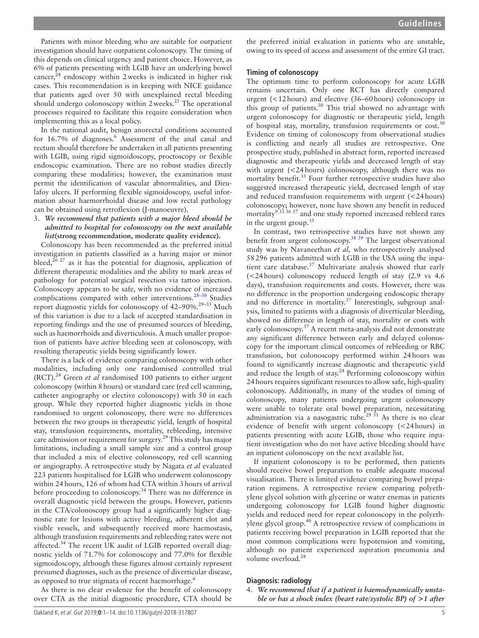**Guidelines**

Patients with minor bleeding who are suitable for outpatient investigation should have outpatient colonoscopy. The timing of this depends on clinical urgency and patient choice. However, as 6% of patients presenting with LGIB have an underlying bowel cancer, $24$  endoscopy within 2 weeks is indicated in higher risk cases. This recommendation is in keeping with NICE guidance that patients aged over 50 with unexplained rectal bleeding should undergo colonoscopy within  $2$  weeks.<sup>[25](#page-11-22)</sup> The operational processes required to facilitate this require consideration when implementing this as a local policy.

In the national audit, benign anorectal conditions accounted for 1[6](#page-11-4).7% of diagnoses.<sup>6</sup> Assessment of the anal canal and rectum should therefore be undertaken in all patients presenting with LGIB, using rigid sigmoidoscopy, proctoscopy or flexible endoscopic examination. There are no robust studies directly comparing these modalities; however, the examination must permit the identification of vascular abnormalities, and Dieulafoy ulcers. If performing flexible sigmoidoscopy, useful information about haemorrhoidal disease and low rectal pathology can be obtained using retroflexion (J-manoeuvre).

#### 3. *We recommend that patients with a major bleed should be admitted to hospital for colonoscopy on the next available list***(strong recommendation, moderate quality evidence).**

Colonoscopy has been recommended as the preferred initial investigation in patients classified as a having major or minor bleed, $^{26\ 27}$  as it has the potential for diagnosis, application of different therapeutic modalities and the ability to mark areas of pathology for potential surgical resection via tattoo injection. Colonoscopy appears to be safe, with no evidence of increased complications compared with other interventions.<sup>28-30</sup> Studies report diagnostic yields for colonoscopy of 42-90%.<sup>29-33</sup> Much of this variation is due to a lack of accepted standardisation in reporting findings and the use of presumed sources of bleeding, such as haemorrhoids and diverticulosis. A much smaller proportion of patients have *active* bleeding seen at colonoscopy, with resulting therapeutic yields being significantly lower.

There is a lack of evidence comparing colonoscopy with other modalities, including only one randomised controlled trial (RCT).[24](#page-11-21) Green *et al* randomised 100 patients to either urgent colonoscopy (within 8hours) or standard care (red cell scanning, catheter angiography or elective colonoscopy) with 50 in each group. While they reported higher diagnostic yields in those randomised to urgent colonoscopy, there were no differences between the two groups in therapeutic yield, length of hospital stay, transfusion requirements, mortality, rebleeding, intensive care admission or requirement for surgery.<sup>29</sup> This study has major limitations, including a small sample size and a control group that included a mix of elective colonoscopy, red cell scanning or angiography. A retrospective study by Nagata *et al* evaluated 223 patients hospitalised for LGIB who underwent colonoscopy within 24hours, 126 of whom had CTA within 3hours of arrival before proceeding to colonoscopy.<sup>34</sup> There was no difference in overall diagnostic yield between the groups. However, patients in the CTA/colonoscopy group had a significantly higher diagnostic rate for lesions with active bleeding, adherent clot and visible vessels, and subsequently received more haemostasis, although transfusion requirements and rebleeding rates were not affected.<sup>34</sup> The recent UK audit of LGIB reported overall diagnostic yields of 71.7% for colonoscopy and 77.0% for flexible sigmoidoscopy, although these figures almost certainly represent presumed diagnoses, such as the presence of diverticular disease, as opposed to true stigmata of recent haemorrhage.<sup>[6](#page-11-4)</sup>

As there is no clear evidence for the benefit of colonoscopy over CTA as the initial diagnostic procedure, CTA should be

the preferred initial evaluation in patients who are unstable, owing to its speed of access and assessment of the entire GI tract.

# **Timing of colonoscopy**

The optimum time to perform colonoscopy for acute LGIB remains uncertain. Only one RCT has directly compared urgent (<12hours) and elective (36–60hours) colonoscopy in this group of patients.<sup>[30](#page-11-27)</sup> This trial showed no advantage with urgent colonoscopy for diagnostic or therapeutic yield, length of hospital stay, mortality, transfusion requirements or cost.[30](#page-11-27) Evidence on timing of colonoscopy from observational studies is conflicting and nearly all studies are retrospective. One prospective study, published in abstract form, reported increased diagnostic and therapeutic yields and decreased length of stay with urgent (<24 hours) colonoscopy, although there was no mortality benefit.<sup>35</sup> Four further retrospective studies have also suggested increased therapeutic yield, decreased length of stay and reduced transfusion requirements with urgent (<24hours) colonoscopy; however, none have shown any benefit in reduced mortality<sup>933 36 37</sup> and one study reported increased rebleed rates in the urgent group. $33$ 

In contrast, two retrospective studies have not shown any benefit from urgent colonoscopy.[38 39](#page-11-30) The largest observational study was by Navaneethan *et al,* who retrospectively analysed 58296 patients admitted with LGIB in the USA using the inpatient care database.<sup>37</sup> Multivariate analysis showed that early (<24hours) colonoscopy reduced length of stay (2.9 vs 4.6 days), transfusion requirements and costs. However, there was no difference in the proportion undergoing endoscopic therapy and no difference in mortality.<sup>37</sup> Interestingly, subgroup analysis, limited to patients with a diagnosis of diverticular bleeding, showed no difference in length of stay, mortality or costs with early colonoscopy.<sup>[37](#page-11-31)</sup> A recent meta-analysis did not demonstrate any significant difference between early and delayed colonoscopy for the important clinical outcomes of rebleeding or RBC transfusion, but colonoscopy performed within 24hours was found to significantly increase diagnostic and therapeutic yield and reduce the length of stay.<sup>[24](#page-11-21)</sup> Performing colonoscopy within 24hours requires significant resources to allow safe, high-quality colonoscopy. Additionally, in many of the studies of timing of colonoscopy, many patients undergoing urgent colonoscopy were unable to tolerate oral bowel preparation, necessitating administration via a nasogastric tube.<sup>29 31</sup> As there is no clear evidence of benefit with urgent colonoscopy (<24hours) in patients presenting with acute LGIB, those who require inpatient investigation who do not have active bleeding should have an inpatient colonoscopy on the next available list.

If inpatient colonoscopy is to be performed, then patients should receive bowel preparation to enable adequate mucosal visualisation. There is limited evidence comparing bowel preparation regimens. A retrospective review comparing polyethylene glycol solution with glycerine or water enemas in patients undergoing colonoscopy for LGIB found higher diagnostic yields and reduced need for repeat colonoscopy in the polyeth-ylene glycol group.<sup>[40](#page-11-32)</sup> A retrospective review of complications in patients receiving bowel preparation in LGIB reported that the most common complications were hypotension and vomiting, although no patient experienced aspiration pneumonia and volume overload.<sup>[28](#page-11-24)</sup>

## **Diagnosis: radiology**

4. *We recommend that if a patient is haemodynamically unstable or has a shock index (heart rate/systolic BP) of >1 after*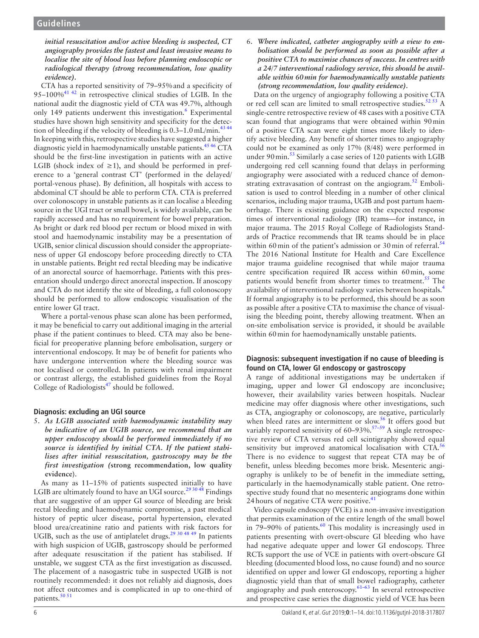## *initial resuscitation and/or active bleeding is suspected, CT angiography provides the fastest and least invasive means to localise the site of blood loss before planning endoscopic or radiological therapy (strong recommendation, low quality evidence).*

CTA has a reported sensitivity of 79–95%and a specificity of 95–100%[41 42](#page-11-33) in retrospective clinical studies of LGIB. In the national audit the diagnostic yield of CTA was 49.7%, although only 149 patients underwent this investigation.<sup>[6](#page-11-4)</sup> Experimental studies have shown high sensitivity and specificity for the detec-tion of bleeding if the velocity of bleeding is 0.3–1.0 mL/min.<sup>[43 44](#page-12-0)</sup> In keeping with this, retrospective studies have suggested a higher diagnostic yield in haemodynamically unstable patients.<sup>45 46</sup> CTA should be the first-line investigation in patients with an active LGIB (shock index of  $\geq$ 1), and should be performed in preference to a 'general contrast CT' (performed in the delayed/ portal-venous phase). By definition, all hospitals with access to abdominal CT should be able to perform CTA. CTA is preferred over colonoscopy in unstable patients as it can localise a bleeding source in the UGI tract or small bowel, is widely available, can be rapidly accessed and has no requirement for bowel preparation. As bright or dark red blood per rectum or blood mixed in with stool and haemodynamic instability may be a presentation of UGIB, senior clinical discussion should consider the appropriateness of upper GI endoscopy before proceeding directly to CTA in unstable patients. Bright red rectal bleeding may be indicative of an anorectal source of haemorrhage. Patients with this presentation should undergo direct anorectal inspection. If anoscopy and CTA do not identify the site of bleeding, a full colonoscopy should be performed to allow endoscopic visualisation of the entire lower GI tract.

Where a portal-venous phase scan alone has been performed, it may be beneficial to carry out additional imaging in the arterial phase if the patient continues to bleed. CTA may also be beneficial for preoperative planning before embolisation, surgery or interventional endoscopy. It may be of benefit for patients who have undergone intervention where the bleeding source was not localised or controlled. In patients with renal impairment or contrast allergy, the established guidelines from the Royal College of Radiologists $47$  should be followed.

# **Diagnosis: excluding an UGI source**

5. *As LGIB associated with haemodynamic instability may be indicative of an UGIB source, we recommend that an upper endoscopy should be performed immediately if no source is identified by initial CTA. If the patient stabilises after initial resuscitation, gastroscopy may be the first investigation (***strong recommendation, low quality evidence**).

As many as 11–15% of patients suspected initially to have LGIB are ultimately found to have an UGI source.<sup>[29 30 48](#page-11-25)</sup> Findings that are suggestive of an upper GI source of bleeding are brisk rectal bleeding and haemodynamic compromise, a past medical history of peptic ulcer disease, portal hypertension, elevated blood urea/creatinine ratio and patients with risk factors for UGIB, such as the use of antiplatelet drugs.<sup>[29 30 48 49](#page-11-25)</sup> In patients with high suspicion of UGIB, gastroscopy should be performed after adequate resuscitation if the patient has stabilised. If unstable, we suggest CTA as the first investigation as discussed. The placement of a nasogastric tube in suspected UGIB is not routinely recommended: it does not reliably aid diagnosis, does not affect outcomes and is complicated in up to one-third of patients.<sup>[50 51](#page-12-3)</sup>

6. *Where indicated, catheter angiography with a view to embolisation should be performed as soon as possible after a positive CTA to maximise chances of success. In centres with a 24/7 interventional radiology service, this should be available within 60min for haemodynamically unstable patients (strong recommendation, low quality evidence).*

Data on the urgency of angiography following a positive CTA or red cell scan are limited to small retrospective studies.<sup>52 53</sup> A single-centre retrospective review of 48 cases with a positive CTA scan found that angiograms that were obtained within 90min of a positive CTA scan were eight times more likely to identify active bleeding. Any benefit of shorter times to angiography could not be examined as only 17% (8/48) were performed in under 90 min.<sup>53</sup> Similarly a case series of 120 patients with LGIB undergoing red cell scanning found that delays in performing angiography were associated with a reduced chance of demonstrating extravasation of contrast on the angiogram.<sup>52</sup> Embolisation is used to control bleeding in a number of other clinical scenarios, including major trauma, UGIB and post partum haemorrhage. There is existing guidance on the expected response times of interventional radiology (IR) teams—for instance, in major trauma. The 2015 Royal College of Radiologists Standards of Practice recommends that IR teams should be in place within 60 min of the patient's admission or 30 min of referral.<sup>[54](#page-12-6)</sup> The 2016 National Institute for Health and Care Excellence major trauma guideline recognised that while major trauma centre specification required IR access within 60min, some patients would benefit from shorter times to treatment.<sup>[55](#page-12-7)</sup> The availability of interventional radiology varies between hospitals.[4](#page-11-2) If formal angiography is to be performed, this should be as soon as possible after a positive CTA to maximise the chance of visualising the bleeding point, thereby allowing treatment. When an on-site embolisation service is provided, it should be available within 60min for haemodynamically unstable patients.

## **Diagnosis: subsequent investigation if no cause of bleeding is found on CTA, lower GI endoscopy or gastroscopy**

A range of additional investigations may be undertaken if imaging, upper and lower GI endoscopy are inconclusive; however, their availability varies between hospitals. Nuclear medicine may offer diagnosis where other investigations, such as CTA, angiography or colonoscopy, are negative, particularly when bleed rates are intermittent or slow.<sup>[56](#page-12-8)</sup> It offers good but variably reported sensitivity of  $60-93\%$ .<sup>57-59</sup> A single retrospective review of CTA versus red cell scintigraphy showed equal sensitivity but improved anatomical localisation with CTA.<sup>[56](#page-12-8)</sup> There is no evidence to suggest that repeat CTA may be of benefit, unless bleeding becomes more brisk. Mesenteric angiography is unlikely to be of benefit in the immediate setting, particularly in the haemodynamically stable patient. One retrospective study found that no mesenteric angiograms done within 24 hours of negative CTA were positive.<sup>[41](#page-11-33)</sup>

Video capsule endoscopy (VCE) is a non-invasive investigation that permits examination of the entire length of the small bowel in 79–90% of patients.<sup>60</sup> This modality is increasingly used in patients presenting with overt-obscure GI bleeding who have had negative adequate upper and lower GI endoscopy. Three RCTs support the use of VCE in patients with overt-obscure GI bleeding (documented blood loss, no cause found) and no source identified on upper and lower GI endoscopy, reporting a higher diagnostic yield than that of small bowel radiography, catheter angiography and push enteroscopy. $61-63$  In several retrospective and prospective case series the diagnostic yield of VCE has been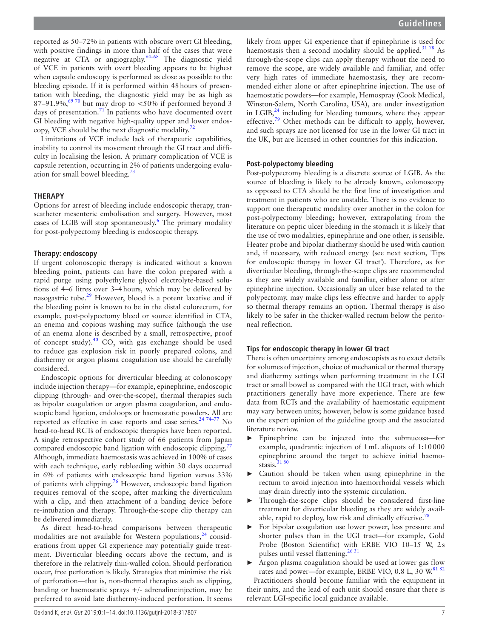reported as 50–72% in patients with obscure overt GI bleeding, with positive findings in more than half of the cases that were negative at CTA or angiography.[64–68](#page-12-12) The diagnostic yield of VCE in patients with overt bleeding appears to be highest when capsule endoscopy is performed as close as possible to the bleeding episode. If it is performed within 48hours of presentation with bleeding, the diagnostic yield may be as high as 87–91.9%,<sup>69 70</sup> but may drop to  $\lt 50\%$  if performed beyond 3 days of presentation.<sup>71</sup> In patients who have documented overt GI bleeding with negative high-quality upper and lower endoscopy, VCE should be the next diagnostic modality. $72$ 

Limitations of VCE include lack of therapeutic capabilities, inability to control its movement through the GI tract and difficulty in localising the lesion. A primary complication of VCE is capsule retention, occurring in 2% of patients undergoing evaluation for small bowel bleeding[.73](#page-12-16)

#### **Therapy**

Options for arrest of bleeding include endoscopic therapy, transcatheter mesenteric embolisation and surgery. However, most cases of LGIB will stop spontaneously.<sup>[6](#page-11-4)</sup> The primary modality for post-polypectomy bleeding is endoscopic therapy.

#### **Therapy: endoscopy**

If urgent colonoscopic therapy is indicated without a known bleeding point, patients can have the colon prepared with a rapid purge using polyethylene glycol electrolyte-based solutions of 4–6 litres over 3–4hours, which may be delivered by nasogastric tube.[29](#page-11-25) However, blood is a potent laxative and if the bleeding point is known to be in the distal colorectum, for example, post-polypectomy bleed or source identified in CTA, an enema and copious washing may suffice (although the use of an enema alone is described by a small, retrospective, proof of concept study).<sup>[40](#page-11-32)</sup> CO<sub>2</sub> with gas exchange should be used to reduce gas explosion risk in poorly prepared colons, and diathermy or argon plasma coagulation use should be carefully considered.

Endoscopic options for diverticular bleeding at colonoscopy include injection therapy—for example, epinephrine, endoscopic clipping (through- and over-the-scope), thermal therapies such as bipolar coagulation or argon plasma coagulation, and endoscopic band ligation, endoloops or haemostatic powders. All are reported as effective in case reports and case series.<sup>24 74-77</sup> No head-to-head RCTs of endoscopic therapies have been reported. A single retrospective cohort study of 66 patients from Japan compared endoscopic band ligation with endoscopic clipping.<sup>[77](#page-12-17)</sup> Although, immediate haemostasis was achieved in 100% of cases with each technique, early rebleeding within 30 days occurred in 6% of patients with endoscopic band ligation versus 33% of patients with clipping.[76](#page-12-18) However, endoscopic band ligation requires removal of the scope, after marking the diverticulum with a clip, and then attachment of a banding device before re-intubation and therapy. Through-the-scope clip therapy can be delivered immediately.

As direct head-to-head comparisons between therapeutic modalities are not available for Western populations,  $24$  considerations from upper GI experience may potentially guide treatment. Diverticular bleeding occurs above the rectum, and is therefore in the relatively thin-walled colon. Should perforation occur, free perforation is likely. Strategies that minimise the risk of perforation—that is, non-thermal therapies such as clipping, banding or haemostatic sprays +/- adrenaline injection, may be preferred to avoid late diathermy-induced perforation. It seems

likely from upper GI experience that if epinephrine is used for haemostasis then a second modality should be applied. $3178$  As through-the-scope clips can apply therapy without the need to remove the scope, are widely available and familiar, and offer very high rates of immediate haemostasis, they are recommended either alone or after epinephrine injection. The use of haemostatic powders—for example, Hemospray (Cook Medical, Winston-Salem, North Carolina, USA), are under investigation in LGIB, $^{24}$  including for bleeding tumours, where they appear effective.<sup>[79](#page-12-19)</sup> Other methods can be difficult to apply, however, and such sprays are not licensed for use in the lower GI tract in the UK, but are licensed in other countries for this indication.

## **Post-polypectomy bleeding**

Post-polypectomy bleeding is a discrete source of LGIB. As the source of bleeding is likely to be already known, colonoscopy as opposed to CTA should be the first line of investigation and treatment in patients who are unstable. There is no evidence to support one therapeutic modality over another in the colon for post-polypectomy bleeding; however, extrapolating from the literature on peptic ulcer bleeding in the stomach it is likely that the use of two modalities, epinephrine and one other, is sensible. Heater probe and bipolar diathermy should be used with caution and, if necessary, with reduced energy (see next section, 'Tips for endoscopic therapy in lower GI tract'). Therefore, as for diverticular bleeding, through-the-scope clips are recommended as they are widely available and familiar, either alone or after epinephrine injection. Occasionally an ulcer base related to the polypectomy, may make clips less effective and harder to apply so thermal therapy remains an option. Thermal therapy is also likely to be safer in the thicker-walled rectum below the peritoneal reflection.

## **Tips for endoscopic therapy in lower GI tract**

There is often uncertainty among endoscopists as to exact details for volumes of injection, choice of mechanical or thermal therapy and diathermy settings when performing treatment in the LGI tract or small bowel as compared with the UGI tract, with which practitioners generally have more experience. There are few data from RCTs and the availability of haemostatic equipment may vary between units; however, below is some guidance based on the expert opinion of the guideline group and the associated literature review.

- ► Epinephrine can be injected into the submucosa—for example, quadrantic injection of 1mL aliquots of 1:10000 epinephrine around the target to achieve initial haemostasis. $3180$
- Caution should be taken when using epinephrine in the rectum to avoid injection into haemorrhoidal vessels which may drain directly into the systemic circulation.
- Through-the-scope clips should be considered first-line treatment for diverticular bleeding as they are widely avail-able, rapid to deploy, low risk and clinically effective.<sup>[78](#page-12-20)</sup>
- For bipolar coagulation use lower power, less pressure and shorter pulses than in the UGI tract—for example, Gold Probe (Boston Scientific) with ERBE VIO 10–15 W, 2s pulses until vessel flattening.<sup>26 31</sup>
- Argon plasma coagulation should be used at lower gas flow rates and power—for example, ERBE VIO, 0.8 L, 30 W.<sup>81 82</sup>

Practitioners should become familiar with the equipment in their units, and the lead of each unit should ensure that there is relevant LGI-specific local guidance available.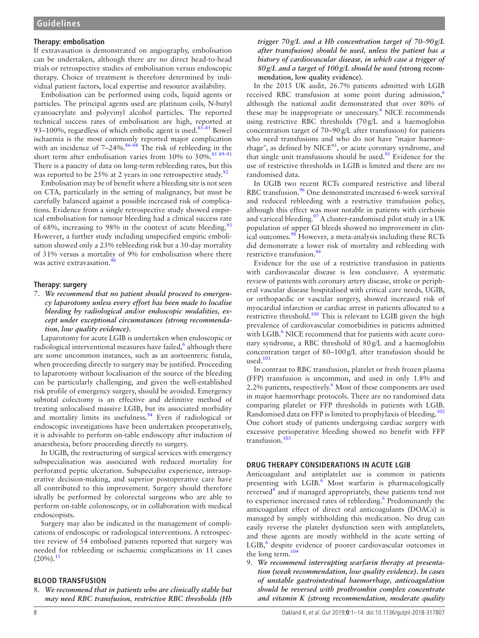## **Therapy: embolisation**

If extravasation is demonstrated on angiography, embolisation can be undertaken, although there are no direct head-to-head trials or retrospective studies of embolisation versus endoscopic therapy. Choice of treatment is therefore determined by individual patient factors, local expertise and resource availability.

Embolisation can be performed using coils, liquid agents or particles. The principal agents used are platinum coils, N-butyl cyanoacrylate and polyvinyl alcohol particles. The reported technical success rates of embolisation are high, reported at 93–100%, regardless of which embolic agent is used. $83-85$  Bowel ischaemia is the most commonly reported major complication with an incidence of  $7-24\%$ .<sup>[86–88](#page-12-23)</sup> The risk of rebleeding in the short term after embolisation varies from 10% to  $50\%$ .<sup>85 89-91</sup> There is a paucity of data on long-term rebleeding rates, but this was reported to be  $25\%$  at 2 years in one retrospective study.<sup>[92](#page-12-25)</sup>

Embolisation may be of benefit where a bleeding site is not seen on CTA, particularly in the setting of malignancy, but must be carefully balanced against a possible increased risk of complications. Evidence from a single retrospective study showed empirical embolisation for tumour bleeding had a clinical success rate of 68%, increasing to 98% in the context of acute bleeding.<sup>[93](#page-12-26)</sup> However, a further study including unspecified empiric embolisation showed only a 23% rebleeding risk but a 30-day mortality of 31% versus a mortality of 9% for embolisation where there was active extravasation.<sup>9</sup>

#### **Therapy: surgery**

7. *We recommend that no patient should proceed to emergency laparotomy unless every effort has been made to localise bleeding by radiological and/or endoscopic modalities, except under exceptional circumstances (strong recommendation, low quality evidence).*

Laparotomy for acute LGIB is undertaken when endoscopic or radiological interventional measures have failed, $^6$  $^6$  although there are some uncommon instances, such as an aortoenteric fistula, when proceeding directly to surgery may be justified. Proceeding to laparotomy without localisation of the source of the bleeding can be particularly challenging, and given the well-established risk profile of emergency surgery, should be avoided. Emergency subtotal colectomy is an effective and definitive method of treating unlocalised massive LGIB, but its associated morbidity and mortality limits its usefulness.<sup>94</sup> Even if radiological or endoscopic investigations have been undertaken preoperatively, it is advisable to perform on-table endoscopy after induction of anaesthesia, before proceeding directly to surgery.

In UGIB, the restructuring of surgical services with emergency subspecialisation was associated with reduced mortality for perforated peptic ulceration. Subspecialist experience, intraoperative decision-making, and superior postoperative care have all contributed to this improvement. Surgery should therefore ideally be performed by colorectal surgeons who are able to perform on-table colonoscopy, or in collaboration with medical endoscopists.

Surgery may also be indicated in the management of complications of endoscopic or radiological interventions. A retrospective review of 54 embolised patients reported that surgery was needed for rebleeding or ischaemic complications in 11 cases  $(20\%)$ .<sup>[11](#page-11-35)</sup>

#### **Blood transfusion**

8. *We recommend that in patients who are clinically stable but may need RBC transfusion, restrictive RBC thresholds (Hb*  *trigger 70g/L and a Hb concentration target of 70–90g/L after transfusion) should be used, unless the patient has a history of cardiovascular disease, in which case a trigger of 80g/L and a target of 100g/L should be used (***strong recommendation, low quality evidence**).

In the 2015 UK audit, 26.7% patients admitted with LGIB received RBC transfusion at some point during admission, $6$ although the national audit demonstrated that over 80% of these may be inappropriate or unecessary.<sup>[4](#page-11-2)</sup> NICE recommends using restrictive RBC thresholds (70g/L and a haemoglobin concentration target of 70–90g/L after transfusion) for patients who need transfusions and who do not have "major haemorrhage", as defined by  $NICE^{95}$ , or acute coronary syndrome, and that single unit transfusions should be used.<sup>[95](#page-12-29)</sup> Evidence for the use of restrictive thresholds in LGIB is limited and there are no randomised data.

In UGIB two recent RCTs compared restrictive and liberal RBC transfusion.<sup>[96](#page-12-30)</sup> One demonstrated increased 6-week survival and reduced rebleeding with a restrictive transfusion policy, although this effect was most notable in patients with cirrhosis and variceal bleeding.<sup>[97](#page-12-31)</sup> A cluster-randomised pilot study in a UK population of upper GI bleeds showed no improvement in clin-ical outcomes.<sup>[98](#page-12-32)</sup> However, a meta-analysis including these RCTs did demonstrate a lower risk of mortality and rebleeding with restrictive transfusion.<sup>[99](#page-13-0)</sup>

Evidence for the use of a restrictive transfusion in patients with cardiovascular disease is less conclusive. A systematic review of patients with coronary artery disease, stroke or peripheral vascular disease hospitalised with critical care needs, UGIB, or orthopaedic or vascular surgery, showed increased risk of myocardial infarction or cardiac arrest in patients allocated to a restrictive threshold.<sup>100</sup> This is relevant to LGIB given the high prevalence of cardiovascular comorbidities in patients admitted with LGIB.<sup>[6](#page-11-4)</sup> NICE recommend that for patients with acute coronary syndrome, a RBC threshold of 80g/L and a haemoglobin concentration target of 80–100g/L after transfusion should be used.[101](#page-13-2)

In contrast to RBC transfusion, platelet or fresh frozen plasma (FFP) transfusion is uncommon, and used in only 1.8% and 2.2% patients, respectively.<sup>[6](#page-11-4)</sup> Most of these components are used in major haemorrhage protocols. There are no randomised data comparing platelet or FFP thresholds in patients with LGIB. Randomised data on FFP is limited to prophylaxis of bleeding.<sup>[102](#page-13-3)</sup> One cohort study of patients undergoing cardiac surgery with excessive perioperative bleeding showed no benefit with FFP transfusion.<sup>[103](#page-13-4)</sup>

#### **Drug therapy considerations in acute LGIB**

Anticoagulant and antiplatelet use is common in patients presenting with LGIB.<sup>[6](#page-11-4)</sup> Most warfarin is pharmacologically reversed<sup>[4](#page-11-2)</sup> and if managed appropriately, these patients tend not to experience increased rates of rebleeding.<sup>6</sup> Predominantly the anticoagulant effect of direct oral anticoagulants (DOACs) is managed by simply withholding this medication. No drug can easily reverse the platelet dysfunction seen with antiplatelets, and these agents are mostly withheld in the acute setting of LGIB,<sup>6</sup> despite evidence of poorer cardiovascular outcomes in the long term.<sup>[104](#page-13-5)</sup>

9. *We recommend interrupting warfarin therapy at presentation (weak recommendation, low quality evidence). In cases of unstable gastrointestinal haemorrhage, anticoagulation should be reversed with prothrombin complex concentrate and vitamin K (strong recommendation, moderate quality*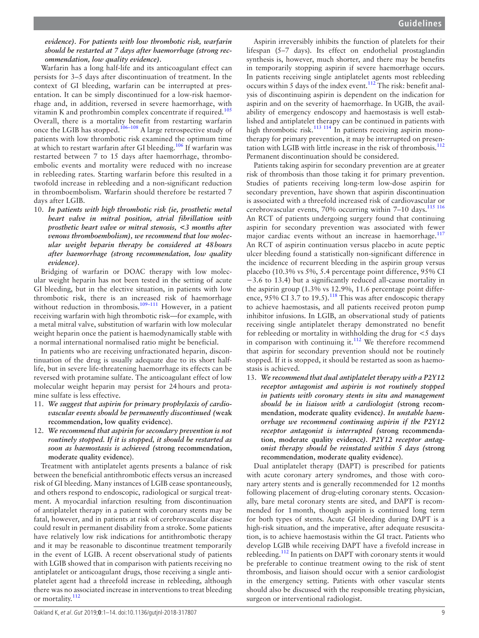## *evidence). For patients with low thrombotic risk, warfarin should be restarted at 7 days after haemorrhage (strong recommendation, low quality evidence).*

Warfarin has a long half-life and its anticoagulant effect can persists for 3–5 days after discontinuation of treatment. In the context of GI bleeding, warfarin can be interrupted at presentation. It can be simply discontinued for a low-risk haemorrhage and, in addition, reversed in severe haemorrhage, with vitamin K and prothrombin complex concentrate if required.<sup>[105](#page-13-6)</sup> Overall, there is a mortality benefit from restarting warfarin once the LGIB has stopped.[106–108](#page-13-7) A large retrospective study of patients with low thrombotic risk examined the optimum time at which to restart warfarin after GI bleeding.[106](#page-13-7) If warfarin was restarted between 7 to 15 days after haemorrhage, thromboembolic events and mortality were reduced with no increase in rebleeding rates. Starting warfarin before this resulted in a twofold increase in rebleeding and a non-significant reduction in thromboembolism. Warfarin should therefore be restarted 7 days after LGIB.

10. *In patients with high thrombotic risk (ie, prosthetic metal heart valve in mitral position, atrial fibrillation with prosthetic heart valve or mitral stenosis, <3 months after venous thromboembolism), we recommend that low molecular weight heparin therapy be considered at 48hours after haemorrhage (strong recommendation, low quality evidence).*

Bridging of warfarin or DOAC therapy with low molecular weight heparin has not been tested in the setting of acute GI bleeding, but in the elective situation, in patients with low thrombotic risk, there is an increased risk of haemorrhage without reduction in thrombosis.<sup>109-111</sup> However, in a patient receiving warfarin with high thrombotic risk—for example, with a metal mitral valve, substitution of warfarin with low molecular weight heparin once the patient is haemodynamically stable with a normal international normalised ratio might be beneficial.

In patients who are receiving unfractionated heparin, discontinuation of the drug is usually adequate due to its short halflife, but in severe life-threatening haemorrhage its effects can be reversed with protamine sulfate. The anticoagulant effect of low molecular weight heparin may persist for 24hours and protamine sulfate is less effective.

- 11. *We suggest that aspirin for primary prophylaxis of cardiovascular events should be permanently discontinued (***weak recommendation, low quality evidence**).
- 12. *We recommend that aspirin for secondary prevention is not routinely stopped. If it is stopped, it should be restarted as soon as haemostasis is achieved (***strong recommendation, moderate quality evidence**).

Treatment with antiplatelet agents presents a balance of risk between the beneficial antithrombotic effects versus an increased risk of GI bleeding. Many instances of LGIB cease spontaneously, and others respond to endoscopic, radiological or surgical treatment. A myocardial infarction resulting from discontinuation of antiplatelet therapy in a patient with coronary stents may be fatal, however, and in patients at risk of cerebrovascular disease could result in permanent disability from a stroke. Some patients have relatively low risk indications for antithrombotic therapy and it may be reasonable to discontinue treatment temporarily in the event of LGIB. A recent observational study of patients with LGIB showed that in comparison with patients receiving no antiplatelet or anticoagulant drugs, those receiving a single antiplatelet agent had a threefold increase in rebleeding, although there was no associated increase in interventions to treat bleeding or mortality.[112](#page-13-9)

Aspirin irreversibly inhibits the function of platelets for their lifespan (5–7 days). Its effect on endothelial prostaglandin synthesis is, however, much shorter, and there may be benefits in temporarily stopping aspirin if severe haemorrhage occurs. In patients receiving single antiplatelet agents most rebleeding occurs within 5 days of the index event[.112](#page-13-9) The risk: benefit analysis of discontinuing aspirin is dependent on the indication for aspirin and on the severity of haemorrhage. In UGIB, the availability of emergency endoscopy and haemostasis is well established and antiplatelet therapy can be continued in patients with high thrombotic risk.<sup>[113 114](#page-13-10)</sup> In patients receiving aspirin monotherapy for primary prevention, it may be interrupted on presentation with LGIB with little increase in the risk of thrombosis.<sup>112</sup> Permanent discontinuation should be considered.

Patients taking aspirin for secondary prevention are at greater risk of thrombosis than those taking it for primary prevention. Studies of patients receiving long-term low-dose aspirin for secondary prevention, have shown that aspirin discontinuation is associated with a threefold increased risk of cardiovascular or cerebrovascular events, 70% occurring within 7-10 days.<sup>115 116</sup> An RCT of patients undergoing surgery found that continuing aspirin for secondary prevention was associated with fewer major cardiac events without an increase in haemorrhage.<sup>117</sup> An RCT of aspirin continuation versus placebo in acute peptic ulcer bleeding found a statistically non-significant difference in the incidence of recurrent bleeding in the aspirin group versus placebo (10.3% vs 5%, 5.4 percentage point difference, 95% CI −3.6 to 13.4) but a significantly reduced all-cause mortality in the aspirin group (1.3% vs 12.9%, 11.6 percentage point differ-ence, 95% CI 3.7 to 19.5).<sup>[118](#page-13-13)</sup> This was after endoscopic therapy to achieve haemostasis, and all patients received proton pump inhibitor infusions. In LGIB, an observational study of patients receiving single antiplatelet therapy demonstrated no benefit for rebleeding or mortality in withholding the drug for <5 days in comparison with continuing it. $112$  We therefore recommend that aspirin for secondary prevention should not be routinely stopped. If it is stopped, it should be restarted as soon as haemostasis is achieved.

13. *We recommend that dual antiplatelet therapy with a P2Y12 receptor antagonist and aspirin is not routinely stopped in patients with coronary stents in situ and management should be in liaison with a cardiologist (***strong recommendation, moderate quality evidence***). In unstable haemorrhage we recommend continuing aspirin if the P2Y12 receptor antagonist is interrupted (***strong recommendation, moderate quality evidence***). P2Y12 receptor antagonist therapy should be reinstated within 5 days (***strong recommendation, moderate quality evidence**).

Dual antiplatelet therapy (DAPT) is prescribed for patients with acute coronary artery syndromes, and those with coronary artery stents and is generally recommended for 12 months following placement of drug-eluting coronary stents. Occasionally, bare metal coronary stents are sited, and DAPT is recommended for 1month, though aspirin is continued long term for both types of stents. Acute GI bleeding during DAPT is a high-risk situation, and the imperative, after adequate resuscitation, is to achieve haemostasis within the GI tract. Patients who develop LGIB while receiving DAPT have a fivefold increase in rebleeding.<sup>112</sup> In patients on DAPT with coronary stents it would be preferable to continue treatment owing to the risk of stent thrombosis, and liaison should occur with a senior cardiologist in the emergency setting. Patients with other vascular stents should also be discussed with the responsible treating physician, surgeon or interventional radiologist.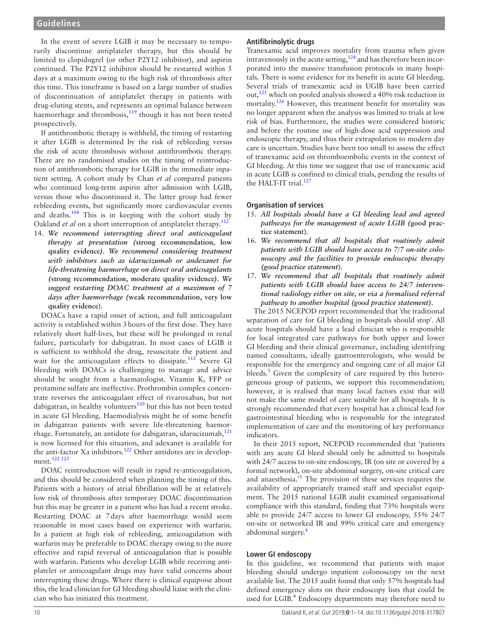In the event of severe LGIB it may be necessary to temporarily discontinue antiplatelet therapy, but this should be limited to clopidogrel (or other P2Y12 inhibitor), and aspirin continued. The P2Y12 inhibitor should be restarted within 5 days at a maximum owing to the high risk of thrombosis after this time. This timeframe is based on a large number of studies of discontinuation of antiplatelet therapy in patients with drug-eluting stents, and represents an optimal balance between haemorrhage and thrombosis,<sup>[119](#page-13-14)</sup> though it has not been tested prospectively.

If antithrombotic therapy is withheld, the timing of restarting it after LGIB is determined by the risk of rebleeding versus the risk of acute thrombosis without antithrombotic therapy. There are no randomised studies on the timing of reintroduction of antithrombotic therapy for LGIB in the immediate inpatient setting. A cohort study by Chan *et al* compared patients who continued long-term aspirin after admission with LGIB, versus those who discontinued it. The latter group had fewer rebleeding events, but significantly more cardiovascular events and deaths[.104](#page-13-5) This is in keeping with the cohort study by Oakland *et al* on a short interruption of antiplatelet therapy.<sup>[112](#page-13-9)</sup>

14. *We recommend interrupting direct oral anticoagulant therapy at presentation (***strong recommendation, low quality evidence***). We recommend considering treatment with inhibitors such as idarucizumab or andexanet for life-threatening haemorrhage on direct oral anticoagulants (***strong recommendation, moderate quality evidence***). We suggest restarting DOAC treatment at a maximum of 7 days after haemorrhage (***weak recommendation, very low quality evidence**).

DOACs have a rapid onset of action, and full anticoagulant activity is established within 3hours of the first dose. They have relatively short half-lives, but these will be prolonged in renal failure, particularly for dabigatran. In most cases of LGIB it is sufficient to withhold the drug, resuscitate the patient and wait for the anticoagulant effects to dissipate.<sup>112</sup> Severe GI bleeding with DOACs is challenging to manage and advice should be sought from a haematologist. Vitamin K, FFP or protamine sulfate are ineffective. Prothrombin complex concentrate reverses the anticoagulant effect of rivaroxaban, but not dabigatran, in healthy volunteers $120$  but this has not been tested in acute GI bleeding. Haemodialysis might be of some benefit in dabigatran patients with severe life-threatening haemorrhage. Fortunately, an antidote for dabigatran, idarucizumab, $121$ is now licensed for this situation, and adexanet is available for the anti-factor Xa inhibitors.<sup>[122](#page-13-17)</sup> Other antidotes are in development.[122 123](#page-13-17)

DOAC reintroduction will result in rapid re-anticoagulation, and this should be considered when planning the timing of this. Patients with a history of atrial fibrillation will be at relatively low risk of thrombosis after temporary DOAC discontinuation but this may be greater in a patient who has had a recent stroke. Restarting DOAC at 7days after haemorrhage would seem reasonable in most cases based on experience with warfarin. In a patient at high risk of rebleeding, anticoagulation with warfarin may be preferable to DOAC therapy owing to the more effective and rapid reversal of anticoagulation that is possible with warfarin. Patients who develop LGIB while receiving antiplatelet or anticoagulant drugs may have valid concerns about interrupting these drugs. Where there is clinical equipoise about this, the lead clinician for GI bleeding should liaise with the clinician who has initiated this treatment.

#### **Antifibrinolytic drugs**

Tranexamic acid improves mortality from trauma when given intravenously in the acute setting,  $124$  and has therefore been incorporated into the massive transfusion protocols in many hospitals. There is some evidence for its benefit in acute GI bleeding. Several trials of tranexamic acid in UGIB have been carried out,  $125$  which on pooled analysis showed a 40% risk reduction in mortality.<sup>126</sup> However, this treatment benefit for mortality was no longer apparent when the analysis was limited to trials at low risk of bias. Furthermore, the studies were considered historic and before the routine use of high-dose acid suppression and endoscopic therapy, and thus their extrapolation to modern day care is uncertain. Studies have been too small to assess the effect of tranexamic acid on thromboembolic events in the context of GI bleeding. At this time we suggest that use of tranexamic acid in acute LGIB is confined to clinical trials, pending the results of the HALT-IT trial.<sup>127</sup>

#### **Organisation of services**

- 15. *All hospitals should have a GI bleeding lead and agreed pathways for the management of acute LGIB (***good practice statement**).
- 16. *We recommend that all hospitals that routinely admit patients with LGIB should have access to 7/7 on-site colonoscopy and the facilities to provide endoscopic therapy (good practice statement*).
- 17. *We recommend that all hospitals that routinely admit patients with LGIB should have access to 24/7 interventional radiology either on site, or via a formalised referral pathway to another hospital (good practice statement).*

The 2015 NCEPOD report recommended that 'the traditional separation of care for GI bleeding in hospitals should stop'. All acute hospitals should have a lead clinician who is responsible for local integrated care pathways for both upper and lower GI bleeding and their clinical governance, including identifying named consultants, ideally gastroenterologists, who would be responsible for the emergency and ongoing care of all major GI bleeds.<sup>5</sup> Given the complexity of care required by this heterogeneous group of patients, we support this recommendation; however, it is realised that many local factors exist that will not make the same model of care suitable for all hospitals. It is strongly recommended that every hospital has a clinical lead for gastrointestinal bleeding who is responsible for the integrated implementation of care and the monitoring of key performance indicators.

In their 2015 report, NCEPOD recommended that 'patients with any acute GI bleed should only be admitted to hospitals with 24/7 access to on-site endoscopy, IR (on site or covered by a formal network), on-site abdominal surgery, on-site critical care and anaesthesia.<sup>[5](#page-11-3)</sup> The provision of these services requires the availability of appropriately trained staff and specialist equipment. The 2015 national LGIB audit examined organisational compliance with this standard, finding that 73% hospitals were able to provide 24/7 access to lower GI endoscopy, 55% 24/7 on-site or networked IR and 99% critical care and emergency abdominal surgery.[4](#page-11-2)

#### **Lower GI endoscopy**

In this guideline, we recommend that patients with major bleeding should undergo inpatient colonoscopy on the next available list. The 2015 audit found that only 57% hospitals had defined emergency slots on their endoscopy lists that could be used for LGIB.<sup>[4](#page-11-2)</sup> Endoscopy departments may therefore need to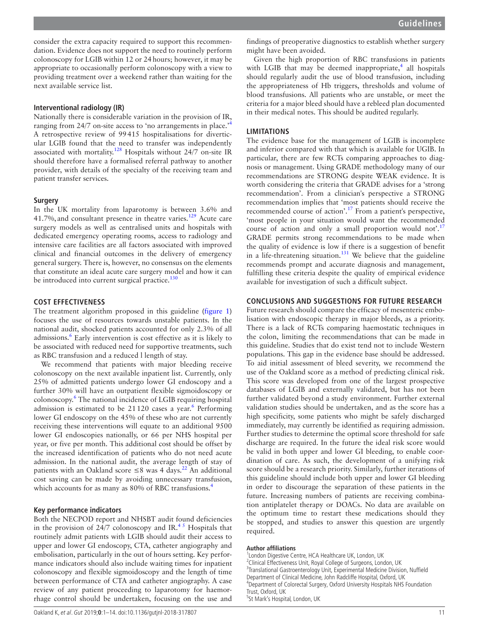consider the extra capacity required to support this recommendation. Evidence does not support the need to routinely perform colonoscopy for LGIB within 12 or 24hours; however, it may be appropriate to occasionally perform colonoscopy with a view to providing treatment over a weekend rather than waiting for the next available service list.

## **Interventional radiology (IR)**

Nationally there is considerable variation in the provision of IR, ranging from 2[4](#page-11-2)/7 on-site access to 'no arrangements in place.' A retrospective review of 99415 hospitalisations for diverticular LGIB found that the need to transfer was independently associated with mortality.<sup>[128](#page-13-22)</sup> Hospitals without 24/7 on-site IR should therefore have a formalised referral pathway to another provider, with details of the specialty of the receiving team and patient transfer services.

# **Surgery**

In the UK mortality from laparotomy is between 3.6% and 41.7%, and consultant presence in theatre varies.<sup>129</sup> Acute care surgery models as well as centralised units and hospitals with dedicated emergency operating rooms, access to radiology and intensive care facilities are all factors associated with improved clinical and financial outcomes in the delivery of emergency general surgery. There is, however, no consensus on the elements that constitute an ideal acute care surgery model and how it can be introduced into current surgical practice.<sup>130</sup>

# **Cost effectiveness**

The treatment algorithm proposed in this guideline [\(figure](#page-2-0) 1) focuses the use of resources towards unstable patients. In the national audit, shocked patients accounted for only 2.3% of all admissions.<sup>[6](#page-11-4)</sup> Early intervention is cost effective as it is likely to be associated with reduced need for supportive treatments, such as RBC transfusion and a reduced l length of stay.

We recommend that patients with major bleeding receive colonoscopy on the next available inpatient list. Currently, only 25% of admitted patients undergo lower GI endoscopy and a further 30% will have an outpatient flexible sigmoidoscopy or colonoscopy.<sup>[6](#page-11-4)</sup> The national incidence of LGIB requiring hospital admission is estimated to be  $21120$  cases a year.<sup>[6](#page-11-4)</sup> Performing lower GI endoscopy on the 45% of these who are not currently receiving these interventions will equate to an additional 9500 lower GI endoscopies nationally, or 66 per NHS hospital per year, or five per month. This additional cost should be offset by the increased identification of patients who do not need acute admission. In the national audit, the average length of stay of patients with an Oakland score  $\leq 8$  was 4 days.<sup>22</sup> An additional cost saving can be made by avoiding unnecessary transfusion, which accounts for as many as 80% of RBC transfusions.<sup>[4](#page-11-2)</sup>

## **Key performance indicators**

Both the NECPOD report and NHSBT audit found deficiencies in the provision of 24/7 colonoscopy and IR.<sup>45</sup> Hospitals that routinely admit patients with LGIB should audit their access to upper and lower GI endoscopy, CTA, catheter angiography and embolisation, particularly in the out of hours setting. Key performance indicators should also include waiting times for inpatient colonoscopy and flexible sigmoidoscopy and the length of time between performance of CTA and catheter angiography. A case review of any patient proceeding to laparotomy for haemorrhage control should be undertaken, focusing on the use and

findings of preoperative diagnostics to establish whether surgery might have been avoided.

Given the high proportion of RBC transfusions in patients with LGIB that may be deemed inappropriate, $4$  all hospitals should regularly audit the use of blood transfusion, including the appropriateness of Hb triggers, thresholds and volume of blood transfusions. All patients who are unstable, or meet the criteria for a major bleed should have a rebleed plan documented in their medical notes. This should be audited regularly.

# **Limitations**

The evidence base for the management of LGIB is incomplete and inferior compared with that which is available for UGIB. In particular, there are few RCTs comparing approaches to diagnosis or management. Using GRADE methodology many of our recommendations are STRONG despite WEAK evidence. It is worth considering the criteria that GRADE advises for a 'strong recommendation'. From a clinician's perspective a STRONG recommendation implies that 'most patients should receive the recommended course of action'.<sup>17</sup> From a patient's perspective, 'most people in your situation would want the recommended course of action and only a small proportion would not'.<sup>[17](#page-11-14)</sup> GRADE permits strong recommendations to be made when the quality of evidence is low if there is a suggestion of benefit in a life-threatening situation.<sup>[131](#page-13-25)</sup> We believe that the guideline recommends prompt and accurate diagnosis and management, fulfilling these criteria despite the quality of empirical evidence available for investigation of such a difficult subject.

# **Conclusions and suggestions for future research**

Future research should compare the efficacy of mesenteric embolisation with endoscopic therapy in major bleeds, as a priority. There is a lack of RCTs comparing haemostatic techniques in the colon, limiting the recommendations that can be made in this guideline. Studies that do exist tend not to include Western populations. This gap in the evidence base should be addressed. To aid initial assessment of bleed severity, we recommend the use of the Oakland score as a method of predicting clinical risk. This score was developed from one of the largest prospective databases of LGIB and externally validated, but has not been further validated beyond a study environment. Further external validation studies should be undertaken, and as the score has a high specificity, some patients who might be safely discharged immediately, may currently be identified as requiring admission. Further studies to determine the optimal score threshold for safe discharge are required. In the future the ideal risk score would be valid in both upper and lower GI bleeding, to enable coordination of care. As such, the development of a unifying risk score should be a research priority. Similarly, further iterations of this guideline should include both upper and lower GI bleeding in order to discourage the separation of these patients in the future. Increasing numbers of patients are receiving combination antiplatelet therapy or DOACs. No data are available on the optimum time to restart these medications should they be stopped, and studies to answer this question are urgently required.

#### **Author affiliations**

<sup>1</sup> London Digestive Centre, HCA Healthcare UK, London, UK <sup>2</sup>Clinical Effectiveness Unit, Royal College of Surgeons, London, UK <sup>3</sup> Translational Gastroenterology Unit, Experimental Medicine Division, Nuffield Department of Clinical Medicine, John Radcliffe Hospital, Oxford, UK 4 Department of Colorectal Surgery, Oxford University Hospitals NHS Foundation Trust, Oxford, UK 5 St Mark's Hospital, London, UK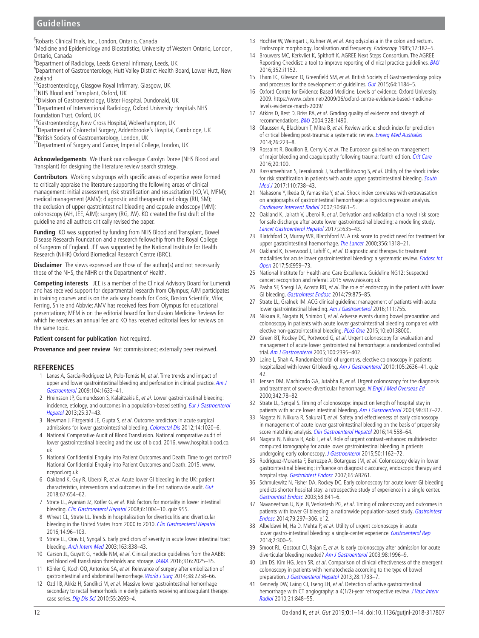6 Robarts Clinical Trials, Inc., London, Ontario, Canada

<sup>7</sup> Medicine and Epidemiology and Biostatistics, University of Western Ontario, London, Ontario, Canada

8 Department of Radiology, Leeds General Infirmary, Leeds, UK

<sup>9</sup>Department of Gastroenterology, Hutt Valley District Health Board, Lower Hutt, New Zealand

<sup>10</sup>Gastroenterology, Glasgow Royal Infirmary, Glasgow, UK

11NHS Blood and Transplant, Oxford, UK

<sup>12</sup>Division of Gastroenterology, Ulster Hospital, Dundonald, UK

13 Department of Interventional Radiology, Oxford University Hospitals NHS Foundation Trust, Oxford, UK

<sup>14</sup>Gastroenterology, New Cross Hospital, Wolverhampton, UK

<sup>15</sup>Department of Colorectal Surgery, Addenbrooke's Hospital, Cambridge, UK <sup>16</sup>British Society of Gastroenterology, London, UK

<sup>17</sup> Department of Surgery and Cancer, Imperial College, London, UK

**Acknowledgements** We thank our colleague Carolyn Doree (NHS Blood and Transplant) for designing the literature review search strategy.

**Contributors** Working subgroups with specific areas of expertise were formed to critically appraise the literature supporting the following areas of clinical management: initial assessment, risk stratification and resuscitation (KO, VJ, MFM); medical management (AMV); diagnostic and therapeutic radiology (RU, SM); the exclusion of upper gastrointestinal bleeding and capsule endoscopy (MM); colonoscopy (AH, JEE, AJM); surgery (RG, JW). KO created the first draft of the guideline and all authors critically revised the paper.

**Funding** KO was supported by funding from NHS Blood and Transplant, Bowel Disease Research Foundation and a research fellowship from the Royal College of Surgeons of England. JEE was supported by the National Institute for Health Research (NIHR) Oxford Biomedical Research Centre (BRC).

**Disclaimer** The views expressed are those of the author(s) and not necessarily those of the NHS, the NIHR or the Department of Health.

**Competing interests** JEE is a member of the Clinical Advisory Board for Lumendi and has received support for departmental research from Olympus; AJM participates in training courses and is on the advisory boards for Cook, Boston Scientific, Vifor, Ferring, Shire and Abbvie; AMV has received fees from Olympus for educational presentations; MFM is on the editorial board for Transfusion Medicine Reviews for which he receives an annual fee and KO has received editorial fees for reviews on the same topic.

**Patient consent for publication** Not required.

**Provenance and peer review** Not commissioned; externally peer reviewed.

# **References**

- <span id="page-11-0"></span>1 Lanas A, García-Rodríguez LA, Polo-Tomás M, et al. Time trends and impact of upper and lower gastrointestinal bleeding and perforation in clinical practice. Am J [Gastroenterol](http://dx.doi.org/10.1038/ajg.2009.164) 2009;104:1633–41.
- <span id="page-11-10"></span>2 Hreinsson JP, Gumundsson S, Kalaitzakis E, et al. Lower gastrointestinal bleeding: incidence, etiology, and outcomes in a population-based setting. Eur J Gastroenterol [Hepatol](http://dx.doi.org/10.1097/MEG.0b013e32835948e3) 2013;25:37–43.
- <span id="page-11-1"></span>3 Newman J, Fitzgerald JE, Gupta S, et al. Outcome predictors in acute surgical admissions for lower gastrointestinal bleeding. [Colorectal Dis](http://dx.doi.org/10.1111/j.1463-1318.2011.02824.x) 2012;14:1020-6.
- <span id="page-11-2"></span>4 National Comparative Audit of Blood Transfusion. National comparative audit of lower gastrointestinal bleeding and the use of blood. 2016. [www.hospital.blood.co.](www.hospital.blood.co.uk) [uk](www.hospital.blood.co.uk)
- <span id="page-11-3"></span>5 National Confidential Enquiry into Patient Outcomes and Death. Time to get control? National Confidential Enquiry into Patient Outcomes and Death. 2015. [www.](www.ncepod.org.uk) [ncepod.org.uk](www.ncepod.org.uk)
- <span id="page-11-4"></span>6 Oakland K, Guy R, Uberoi R, et al. Acute lower GI bleeding in the UK: patient characteristics, interventions and outcomes in the first nationwide audit. [Gut](http://dx.doi.org/10.1136/gutjnl-2016-313428) 2018;67:654–62.
- 7 Strate LL, Ayanian JZ, Kotler G, et al. Risk factors for mortality in lower intestinal bleeding. [Clin Gastroenterol Hepatol](http://dx.doi.org/10.1016/j.cgh.2008.03.021) 2008;6:1004-10. quiz 955
- <span id="page-11-5"></span>8 Wheat CL, Strate LL. Trends in hospitalization for diverticulitis and diverticular bleeding in the United States From 2000 to 2010. [Clin Gastroenterol Hepatol](http://dx.doi.org/10.1016/j.cgh.2015.03.030) 2016;14:96–103.
- <span id="page-11-6"></span>9 Strate LL, Orav EJ, Syngal S. Early predictors of severity in acute lower intestinal tract bleeding. [Arch Intern Med](http://dx.doi.org/10.1001/archinte.163.7.838) 2003;163:838–43.
- <span id="page-11-7"></span>10 Carson JL, Guyatt G, Heddle NM, et al. Clinical practice guidelines from the AABB: red blood cell transfusion thresholds and storage. [JAMA](http://dx.doi.org/10.1001/jama.2016.9185) 2016;316:2025–35.
- <span id="page-11-35"></span>11 Köhler G, Koch OO, Antoniou SA, et al. Relevance of surgery after embolization of gastrointestinal and abdominal hemorrhage. [World J Surg](http://dx.doi.org/10.1007/s00268-014-2570-7) 2014;38:2258–66.
- <span id="page-11-8"></span>12 Ozdil B, Akkiz H, Sandikci M, et al. Massive lower gastrointestinal hemorrhage secondary to rectal hemorrhoids in elderly patients receiving anticoagulant therapy: case series. [Dig Dis Sci](http://dx.doi.org/10.1007/s10620-009-1043-6) 2010;55:2693-4.
- <span id="page-11-9"></span>13 Hochter W, Weingart J, Kuhner W, et al. Angiodysplasia in the colon and rectum. Endoscopic morphology, localisation and frequency. Endoscopy 1985;17:182–5.
- <span id="page-11-11"></span>14 Brouwers MC, Kerkvliet K, Spithoff K. AGREE Next Steps Consortium. The AGREE Reporting Checklist: a tool to improve reporting of clinical practice guidelines. [BMJ](http://dx.doi.org/10.1136/bmj.i1152) 2016;352:i1152.
- <span id="page-11-12"></span>15 Tham TC, Gleeson D, Greenfield SM, et al. British Society of Gastroenterology policy and processes for the development of guidelines. [Gut](http://dx.doi.org/10.1136/gutjnl-2015-309164) 2015;64:1184-5.
- <span id="page-11-13"></span>16 Oxford Centre for Evidence Based Medicine. Levels of evidence. Oxford University. 2009. [https://www.cebm.net/2009/06/oxford-centre-evidence-based-medicine](https://www.cebm.net/2009/06/oxford-centre-evidence-based-medicine-levels-evidence-march-2009/)[levels-evidence-march-2009/](https://www.cebm.net/2009/06/oxford-centre-evidence-based-medicine-levels-evidence-march-2009/)
- <span id="page-11-14"></span>17 Atkins D, Best D, Briss PA, et al. Grading quality of evidence and strength of recommendations. [BMJ](http://dx.doi.org/10.1136/bmj.328.7454.1490) 2004;328:1490.
- <span id="page-11-15"></span>18 Olaussen A, Blackburn T, Mitra B, et al. Review article: shock index for prediction of critical bleeding post-trauma: a systematic review. [Emerg Med Australas](http://dx.doi.org/10.1111/1742-6723.12232) 2014;26:223–8.
- <span id="page-11-16"></span>19 Rossaint R, Bouillon B, Cerny V, et al. The European guideline on management of major bleeding and coagulopathy following trauma: fourth edition. [Crit Care](http://dx.doi.org/10.1186/s13054-016-1265-x) 2016;20:100.
- <span id="page-11-17"></span>20 Rassameehiran S, Teerakanok J, Suchartlikitwong S, et al. Utility of the shock index for risk stratification in patients with acute upper gastrointestinal bleeding. South [Med J](http://dx.doi.org/10.14423/SMJ.0000000000000729) 2017;110:738–43.
- <span id="page-11-18"></span>21 Nakasone Y, Ikeda O, Yamashita Y, et al. Shock index correlates with extravasation on angiographs of gastrointestinal hemorrhage: a logistics regression analysis. [Cardiovasc Intervent Radiol](http://dx.doi.org/10.1007/s00270-007-9131-5) 2007;30:861–5.
- <span id="page-11-19"></span>22 Oakland K, Jairath V, Uberoi R, et al. Derivation and validation of a novel risk score for safe discharge after acute lower gastrointestinal bleeding: a modelling study. [Lancet Gastroenterol Hepatol](http://dx.doi.org/10.1016/S2468-1253(17)30150-4) 2017;2:635–43.
- <span id="page-11-20"></span>23 Blatchford O, Murray WR, Blatchford M. A risk score to predict need for treatment for upper gastrointestinal haemorrhage. [The Lancet](http://dx.doi.org/10.1016/S0140-6736(00)02816-6) 2000;356:1318-21.
- <span id="page-11-21"></span>24 Oakland K, Isherwood J, Lahiff C, et al. Diagnostic and therapeutic treatment modalities for acute lower gastrointestinal bleeding: a systematic review. Endosc Int [Open](http://dx.doi.org/10.1055/s-0043-117958) 2017;5:E959–73.
- <span id="page-11-22"></span>25 National Institute for Health and Care Excellence. Guideline NG12: Suspected cancer: recognition and referral. 2015 <www.nice.org.uk>
- <span id="page-11-23"></span>26 Pasha SF, Shergill A, Acosta RD, et al. The role of endoscopy in the patient with lower GI bleeding. [Gastrointest Endosc](http://dx.doi.org/10.1016/j.gie.2013.10.039) 2014;79:875–85.
- 27 Strate LL, Gralnek IM. ACG clinical guideline: management of patients with acute lower gastrointestinal bleeding. [Am J Gastroenterol](http://dx.doi.org/10.1038/ajg.2016.155) 2016;111:755.
- <span id="page-11-24"></span>28 Niikura R, Nagata N, Shimbo T, et al. Adverse events during bowel preparation and colonoscopy in patients with acute lower gastrointestinal bleeding compared with elective non-gastrointestinal bleeding. [PLoS One](http://dx.doi.org/10.1371/journal.pone.0138000) 2015;10:e0138000.
- <span id="page-11-25"></span>29 Green BT, Rockey DC, Portwood G, et al. Urgent colonoscopy for evaluation and management of acute lower gastrointestinal hemorrhage: a randomized controlled trial. [Am J Gastroenterol](http://dx.doi.org/10.1111/j.1572-0241.2005.00306.x) 2005;100:2395-402.
- <span id="page-11-27"></span>Laine L, Shah A. Randomized trial of urgent vs. elective colonoscopy in patients hospitalized with lower GI bleeding. [Am J Gastroenterol](http://dx.doi.org/10.1038/ajg.2010.277) 2010;105:2636-41. quiz 42.
- <span id="page-11-34"></span>31 Jensen DM, Machicado GA, Jutabha R, et al. Urgent colonoscopy for the diagnosis and treatment of severe diverticular hemorrhage. [N Engl J Med Overseas Ed](http://dx.doi.org/10.1056/NEJM200001133420202) 2000;342:78–82.
- 32 Strate LL, Syngal S. Timing of colonoscopy: impact on length of hospital stay in patients with acute lower intestinal bleeding. [Am J Gastroenterol](http://dx.doi.org/10.1111/j.1572-0241.2003.07232.x) 2003;98:317-22.
- <span id="page-11-29"></span>33 Nagata N, Niikura R, Sakurai T, et al. Safety and effectiveness of early colonoscopy in management of acute lower gastrointestinal bleeding on the basis of propensity score matching analysis. [Clin Gastroenterol Hepatol](http://dx.doi.org/10.1016/j.cgh.2015.10.011) 2016;14:558-64.
- <span id="page-11-26"></span>34 Nagata N, Niikura R, Aoki T, et al. Role of urgent contrast-enhanced multidetector computed tomography for acute lower gastrointestinal bleeding in patients undergoing early colonoscopy. [J Gastroenterol](http://dx.doi.org/10.1007/s00535-015-1069-9) 2015;50:1162-72.
- <span id="page-11-28"></span>35 Rodriguez-Moranta F, Berrozpe A, Botargues JM, et al. Colonoscopy delay in lower gastrointestinal bleeding: influence on diagnostic accuracy, endoscopic therapy and hospital stay. [Gastrointest Endosc](http://dx.doi.org/10.1016/j.gie.2007.03.614) 2007;65:AB261.
- 36 Schmulewitz N, Fisher DA, Rockey DC. Early colonoscopy for acute lower GI bleeding predicts shorter hospital stay: a retrospective study of experience in a single center. [Gastrointest Endosc](http://dx.doi.org/10.1016/S0016-5107(03)02304-6) 2003;58:841–6.
- <span id="page-11-31"></span>37 Navaneethan U, Njei B, Venkatesh PG, et al. Timing of colonoscopy and outcomes in patients with lower GI bleeding: a nationwide population-based study. Gastrointest [Endosc](http://dx.doi.org/10.1016/j.gie.2013.08.001) 2014;79:297–306. e12.
- <span id="page-11-30"></span>38 Albeldawi M, Ha D, Mehta P, et al. Utility of urgent colonoscopy in acute lower gastro-intestinal bleeding: a single-center experience. [Gastroenterol Rep](http://dx.doi.org/10.1093/gastro/gou030) 2014;2:300–5.
- 39 Smoot RL, Gostout CJ, Rajan E, et al. Is early colonoscopy after admission for acute diverticular bleeding needed? [Am J Gastroenterol](http://dx.doi.org/10.1111/j.1572-0241.2003.07635.x) 2003;98:1996-9.
- <span id="page-11-32"></span>40 Lim DS, Kim HG, Jeon SR, et al. Comparison of clinical effectiveness of the emergent colonoscopy in patients with hematochezia according to the type of bowel preparation. [J Gastroenterol Hepatol](http://dx.doi.org/10.1111/jgh.12264) 2013;28:1733-7.
- <span id="page-11-33"></span>41 Kennedy DW, Laing CJ, Tseng LH, et al. Detection of active gastrointestinal hemorrhage with CT angiography: a 4(1/2)-year retrospective review. J Vasc Interv [Radiol](http://dx.doi.org/10.1016/j.jvir.2010.01.039) 2010;21:848–55.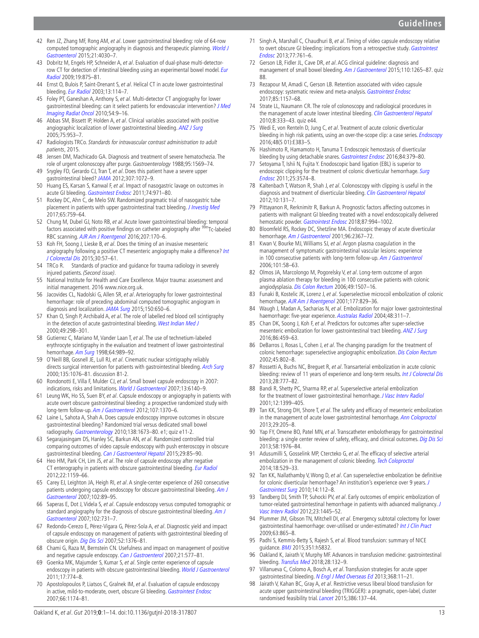- 42 Ren JZ, Zhang MF, Rong AM, et al. Lower gastrointestinal bleeding: role of 64-row computed tomographic angiography in diagnosis and therapeutic planning. [World J](http://dx.doi.org/10.3748/wjg.v21.i13.4030)  [Gastroenterol](http://dx.doi.org/10.3748/wjg.v21.i13.4030) 2015;21:4030–7.
- <span id="page-12-0"></span>43 Dobritz M, Engels HP, Schneider A, et al. Evaluation of dual-phase multi-detectorrow CT for detection of intestinal bleeding using an experimental bowel model. Eur [Radiol](http://dx.doi.org/10.1007/s00330-008-1205-5) 2009;19:875–81.
- 44 Ernst O, Bulois P, Saint-Drenant S, et al. Helical CT in acute lower gastrointestinal bleeding. [Eur Radiol](http://dx.doi.org/10.1007/s00330-002-1442-y) 2003;13:114–7.
- <span id="page-12-1"></span>45 Foley PT, Ganeshan A, Anthony S, et al. Multi-detector CT angiography for lower gastrointestinal bleeding: can it select patients for endovascular intervention? [J Med](http://dx.doi.org/10.1111/j.1754-9485.2010.02131.x)  [Imaging Radiat Oncol](http://dx.doi.org/10.1111/j.1754-9485.2010.02131.x) 2010;54:9–16.
- 46 Abbas SM, Bissett IP, Holden A, et al. Clinical variables associated with positive angiographic localization of lower gastrointestinal bleeding. [ANZ J Surg](http://dx.doi.org/10.1111/j.1445-2197.2005.03582.x) 2005;75:953–7.
- <span id="page-12-2"></span>47 Radiologists TRCo. Standards for intravascular contrast administration to adult patients, 2015.
- 48 Jensen DM, Machicado GA. Diagnosis and treatment of severe hematochezia. The role of urgent colonoscopy after purge. Gastroenterology 1988;95:1569–74.
- 49 Srygley FD, Gerardo CJ, Tran T, et al. Does this patient have a severe upper gastrointestinal bleed? [JAMA](http://dx.doi.org/10.1001/jama.2012.253) 2012;307:1072–9.
- <span id="page-12-3"></span>50 Huang ES, Karsan S, Kanwal F, et al. Impact of nasogastric lavage on outcomes in acute GI bleeding. [Gastrointest Endosc](http://dx.doi.org/10.1016/j.gie.2011.04.045) 2011;74:971–80.
- 51 Rockey DC, Ahn C, de Melo SW. Randomized pragmatic trial of nasogastric tube placement in patients with upper gastrointestinal tract bleeding. [J Investig Med](http://dx.doi.org/10.1136/jim-2016-000375) 2017;65:759–64.
- <span id="page-12-4"></span>52 Chung M, Dubel GJ, Noto RB, et al. Acute lower gastrointestinal bleeding: temporal factors associated with positive findings on catheter angiography after <sup>99m</sup>Tc-labeled RBC scanning. [AJR Am J Roentgenol](http://dx.doi.org/10.2214/AJR.15.15380) 2016;207:170–6.
- <span id="page-12-5"></span>53 Koh FH, Soong J, Lieske B, et al. Does the timing of an invasive mesenteric angiography following a positive CT mesenteric angiography make a difference? Int [J Colorectal Dis](http://dx.doi.org/10.1007/s00384-014-2055-z) 2015;30:57–61.
- <span id="page-12-6"></span>54 TRCo R. Standards of practice and guidance for trauma radiology in severely injured patients. (Second issue).
- <span id="page-12-7"></span>55 National Institute for Health and Care Excellence. Major trauma: assessment and initial management. 2016 [www.nice.org.uk.](www.nice.org.uk)
- <span id="page-12-8"></span>56 Jacovides CL, Nadolski G, Allen SR, et al. Arteriography for lower gastrointestinal hemorrhage: role of preceding abdominal computed tomographic angiogram in diagnosis and localization. [JAMA Surg](http://dx.doi.org/10.1001/jamasurg.2015.97) 2015;150:650-6.
- <span id="page-12-9"></span>57 Khan O, Singh P, Archibald A, et al. The role of labelled red blood cell scintigraphy in the detection of acute gastrointestinal bleeding. [West Indian Med J](http://www.ncbi.nlm.nih.gov/pubmed/11211539) 2000;49:298–301.
- 58 Gutierrez C, Mariano M, Vander Laan T, et al. The use of technetium-labeled erythrocyte scintigraphy in the evaluation and treatment of lower gastrointestinal hemorrhage. [Am Surg](http://www.ncbi.nlm.nih.gov/pubmed/9764709) 1998;64:989-92.
- O'Neill BB, Gosnell JE, Lull RJ, et al. Cinematic nuclear scintigraphy reliably directs surgical intervention for patients with gastrointestinal bleeding. [Arch Surg](http://dx.doi.org/10.1001/archsurg.135.9.1076) 2000;135:1076–81. discussion 81-2.
- <span id="page-12-10"></span>60 Rondonotti E, Villa F, Mulder CJ, et al. Small bowel capsule endoscopy in 2007: indications, risks and limitations. [World J Gastroenterol](http://dx.doi.org/10.3748/wjg.v13.i46.6140) 2007;13:6140-9.
- <span id="page-12-11"></span>61 Leung WK, Ho SS, Suen BY, et al. Capsule endoscopy or angiography in patients with acute overt obscure gastrointestinal bleeding: a prospective randomized study with long-term follow-up. [Am J Gastroenterol](http://dx.doi.org/10.1038/ajg.2012.212) 2012;107:1370-6.
- 62 Laine L, Sahota A, Shah A. Does capsule endoscopy improve outcomes in obscure gastrointestinal bleeding? Randomized trial versus dedicated small bowel radiography. [Gastroenterology](http://dx.doi.org/10.1053/j.gastro.2010.01.047) 2010;138:1673–80. e1; quiz e11-2.
- 63 Segarajasingam DS, Hanley SC, Barkun AN, et al. Randomized controlled trial comparing outcomes of video capsule endoscopy with push enteroscopy in obscure gastrointestinal bleeding. [Can J Gastroenterol Hepatol](http://dx.doi.org/10.1155/2015/897567) 2015;29:85-90.
- <span id="page-12-12"></span>64 Heo HM, Park CH, Lim JS, et al. The role of capsule endoscopy after negative CT enterography in patients with obscure gastrointestinal bleeding. [Eur Radiol](http://dx.doi.org/10.1007/s00330-011-2374-1) 2012;22:1159–66.
- 65 Carey EJ, Leighton JA, Heigh RI, et al. A single-center experience of 260 consecutive patients undergoing capsule endoscopy for obscure gastrointestinal bleeding. Am J [Gastroenterol](http://dx.doi.org/10.1111/j.1572-0241.2006.00941.x) 2007:102:89-95.
- 66 Saperas E, Dot J, Videla S, et al. Capsule endoscopy versus computed tomographic or standard angiography for the diagnosis of obscure gastrointestinal bleeding. Am J [Gastroenterol](http://dx.doi.org/10.1111/j.1572-0241.2007.01058.x) 2007;102:731–7.
- 67 Redondo-Cerezo E, Pérez-Vigara G, Pérez-Sola A, et al. Diagnostic yield and impact of capsule endoscopy on management of patients with gastrointestinal bleeding of obscure origin. [Dig Dis Sci](http://dx.doi.org/10.1007/s10620-006-9605-3) 2007;52:1376–81.
- 68 Chami G, Raza M, Bernstein CN. Usefulness and impact on management of positive and negative capsule endoscopy. [Can J Gastroenterol](http://dx.doi.org/10.1155/2007/146947) 2007;21:577-81.
- <span id="page-12-13"></span>69 Goenka MK, Majumder S, Kumar S, et al. Single center experience of capsule endoscopy in patients with obscure gastrointestinal bleeding. [World J Gastroenterol](http://dx.doi.org/10.3748/wjg.v17.i6.774) 2011;17:774–8.
- 70 Apostolopoulos P, Liatsos C, Gralnek IM, et al. Evaluation of capsule endoscopy in active, mild-to-moderate, overt, obscure GI bleeding. [Gastrointest Endosc](http://dx.doi.org/10.1016/j.gie.2007.06.058) 2007;66:1174–81.
- <span id="page-12-14"></span>71 Singh A, Marshall C, Chaudhuri B, et al. Timing of video capsule endoscopy relative to overt obscure GI bleeding: implications from a retrospective study. Gastrointest [Endosc](http://dx.doi.org/10.1016/j.gie.2012.11.041) 2013;77:761–6.
- <span id="page-12-15"></span>72 Gerson LB, Fidler JL, Cave DR, et al. ACG clinical guideline: diagnosis and management of small bowel bleeding. [Am J Gastroenterol](http://dx.doi.org/10.1038/ajg.2015.246) 2015:110:1265–87. quiz 88.
- <span id="page-12-16"></span>73 Rezapour M, Amadi C, Gerson LB. Retention associated with video capsule endoscopy: systematic review and meta-analysis. [Gastrointest Endosc](http://dx.doi.org/10.1016/j.gie.2016.12.024) 2017;85:1157–68.
- 74 Strate LL, Naumann CR. The role of colonoscopy and radiological procedures in the management of acute lower intestinal bleeding. [Clin Gastroenterol Hepatol](http://dx.doi.org/10.1016/j.cgh.2009.12.017) 2010;8:333–43. quiz e44.
- 75 Wedi E, von Renteln D, Jung C, et al. Treatment of acute colonic diverticular bleeding in high risk patients, using an over-the-scope clip: a case series. [Endoscopy](http://dx.doi.org/10.1055/s-0042-118168) 2016;48(S 01):E383–5.
- <span id="page-12-18"></span>76 Hashimoto R, Hamamoto H, Tanuma T. Endoscopic hemostasis of diverticular bleeding by using detachable snares. [Gastrointest Endosc](http://dx.doi.org/10.1016/j.gie.2016.01.008) 2016;84:379-80.
- <span id="page-12-17"></span>77 Setoyama T, Ishii N, Fujita Y. Enodoscopic band ligation (EBL) is superior to endoscopic clipping for the treatment of colonic diverticular hemorrhage. Surg [Endosc](http://dx.doi.org/10.1007/s00464-011-1760-8) 2011;25:3574–8.
- <span id="page-12-20"></span>78 Kaltenbach T, Watson R, Shah J, et al. Colonoscopy with clipping is useful in the diagnosis and treatment of diverticular bleeding. [Clin Gastroenterol Hepatol](http://dx.doi.org/10.1016/j.cgh.2011.10.029) 2012;10:131–7.
- <span id="page-12-19"></span>79 Pittayanon R, Rerknimitr R, Barkun A. Prognostic factors affecting outcomes in patients with malignant GI bleeding treated with a novel endoscopically delivered hemostatic powder. [Gastrointest Endosc](http://dx.doi.org/10.1016/j.gie.2017.11.013) 2018;87:994-1002.
- 80 Bloomfeld RS, Rockey DC, Shetzline MA. Endoscopic therapy of acute diverticular hemorrhage. [Am J Gastroenterol](http://dx.doi.org/10.1111/j.1572-0241.2001.04048.x) 2001;96:2367-72.
- <span id="page-12-21"></span>81 Kwan V, Bourke MJ, Williams SJ, et al. Argon plasma coagulation in the management of symptomatic gastrointestinal vascular lesions: experience in 100 consecutive patients with long-term follow-up. [Am J Gastroenterol](http://dx.doi.org/10.1111/j.1572-0241.2006.00370.x) 2006;101:58–63.
- 82 Olmos JA, Marcolongo M, Pogorelsky V, et al. Long-term outcome of argon plasma ablation therapy for bleeding in 100 consecutive patients with colonic angiodysplasia. [Dis Colon Rectum](http://dx.doi.org/10.1007/s10350-006-0684-1) 2006;49:1507–16.
- <span id="page-12-22"></span>83 Funaki B, Kostelic JK, Lorenz J, et al. Superselective microcoil embolization of colonic hemorrhage. [AJR Am J Roentgenol](http://dx.doi.org/10.2214/ajr.177.4.1770829) 2001;177:829-36.
- Waugh J, Madan A, Sacharias N, et al. Embolization for major lower gastrointestinal haemorrhage: five-year experience. [Australas Radiol](http://dx.doi.org/10.1111/j.0004-8461.2004.01313.x) 2004;48:311-7.
- <span id="page-12-24"></span>85 Chan DK, Soong J, Koh F, et al. Predictors for outcomes after super-selective mesenteric embolization for lower gastrointestinal tract bleeding. [ANZ J Surg](http://dx.doi.org/10.1111/ans.12762) 2016;86:459–63.
- <span id="page-12-23"></span>86 DeBarros J, Rosas L, Cohen J, et al. The changing paradigm for the treatment of colonic hemorrhage: superselective angiographic embolization. [Dis Colon Rectum](http://www.ncbi.nlm.nih.gov/pubmed/12072634) 2002;45:802–8.
- 87 Rossetti A, Buchs NC, Breguet R, et al. Transarterial embolization in acute colonic bleeding: review of 11 years of experience and long-term results. [Int J Colorectal Dis](http://dx.doi.org/10.1007/s00384-012-1621-5) 2013;28:777–82.
- 88 Bandi R, Shetty PC, Sharma RP, et al. Superselective arterial embolization for the treatment of lower gastrointestinal hemorrhage. [J Vasc Interv Radiol](http://dx.doi.org/10.1016/S1051-0443(07)61697-2) 2001;12:1399–405.
- 89 Tan KK, Strong DH, Shore T, et al. The safety and efficacy of mesenteric embolization in the management of acute lower gastrointestinal hemorrhage. [Ann Coloproctol](http://dx.doi.org/10.3393/ac.2013.29.5.205) 2013;29:205–8.
- <span id="page-12-27"></span>90 Yap FY, Omene BO, Patel MN, et al. Transcatheter embolotherapy for gastrointestinal bleeding: a single center review of safety, efficacy, and clinical outcomes. [Dig Dis Sci](http://dx.doi.org/10.1007/s10620-012-2547-z) 2013;58:1976–84.
- 91 Adusumilli S, Gosselink MP, Ctercteko G, et al. The efficacy of selective arterial embolization in the management of colonic bleeding. [Tech Coloproctol](http://dx.doi.org/10.1007/s10151-013-1088-6) 2014;18:529–33.
- <span id="page-12-25"></span>92 Tan KK, Nallathamby V, Wong D, et al. Can superselective embolization be definitive for colonic diverticular hemorrhage? An institution's experience over 9 years. J [Gastrointest Surg](http://dx.doi.org/10.1007/s11605-009-1069-2) 2010;14:112–8.
- <span id="page-12-26"></span>93 Tandberg DJ, Smith TP, Suhocki PV, et al. Early outcomes of empiric embolization of tumor-related gastrointestinal hemorrhage in patients with advanced malignancy. [J](http://dx.doi.org/10.1016/j.jvir.2012.08.011)  [Vasc Interv Radiol](http://dx.doi.org/10.1016/j.jvir.2012.08.011) 2012;23:1445–52.
- <span id="page-12-28"></span>94 Plummer JM, Gibson TN, Mitchell DI, et al. Emergency subtotal colectomy for lower gastrointestinal haemorrhage: over-utilised or under-estimated? [Int J Clin Pract](http://dx.doi.org/10.1111/j.1742-1241.2007.01632.x) 2009;63:865–8.
- <span id="page-12-29"></span>95 Padhi S, Kemmis-Betty S, Rajesh S, et al. Blood transfusion: summary of NICE guidance. **[BMJ](http://dx.doi.org/10.1136/bmj.h5832)** 2015;351:h5832.
- <span id="page-12-30"></span>Oakland K, Jairath V, Murphy MF. Advances in transfusion medicine: gastrointestinal bleeding. [Transfus Med](http://dx.doi.org/10.1111/tme.12446) 2018;28:132-9.
- <span id="page-12-31"></span>Villanueva C, Colomo A, Bosch A, et al. Transfusion strategies for acute upper gastrointestinal bleeding. [N Engl J Med Overseas Ed](http://dx.doi.org/10.1056/NEJMoa1211801) 2013;368:11-21.
- <span id="page-12-32"></span>98 Jairath V, Kahan BC, Gray A, et al. Restrictive versus liberal blood transfusion for acute upper gastrointestinal bleeding (TRIGGER): a pragmatic, open-label, cluster randomised feasibility trial. [Lancet](http://dx.doi.org/10.1016/S0140-6736(14)61999-1) 2015;386:137-44.